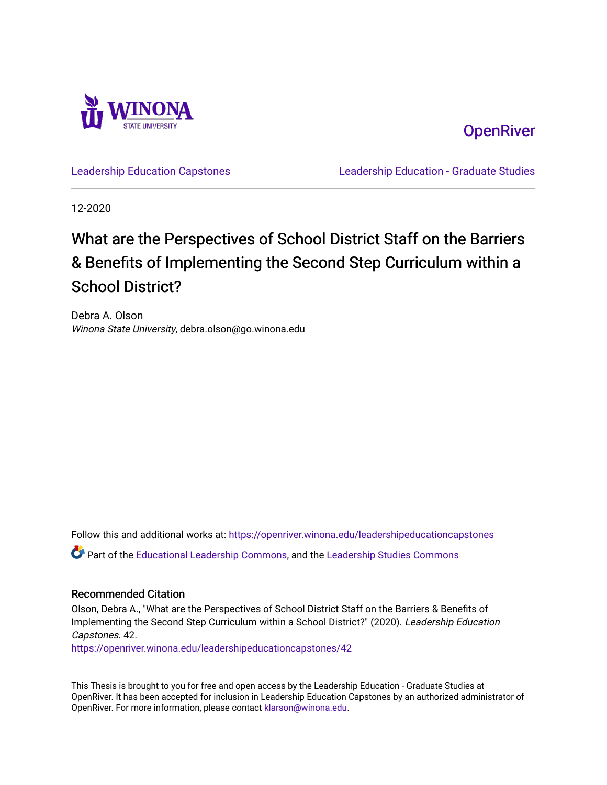

**OpenRiver** 

[Leadership Education Capstones](https://openriver.winona.edu/leadershipeducationcapstones) [Leadership Education - Graduate Studies](https://openriver.winona.edu/leadershipeducation) 

12-2020

# What are the Perspectives of School District Staff on the Barriers & Benefits of Implementing the Second Step Curriculum within a School District?

Debra A. Olson Winona State University, debra.olson@go.winona.edu

Follow this and additional works at: [https://openriver.winona.edu/leadershipeducationcapstones](https://openriver.winona.edu/leadershipeducationcapstones?utm_source=openriver.winona.edu%2Fleadershipeducationcapstones%2F42&utm_medium=PDF&utm_campaign=PDFCoverPages)  Part of the [Educational Leadership Commons,](http://network.bepress.com/hgg/discipline/1230?utm_source=openriver.winona.edu%2Fleadershipeducationcapstones%2F42&utm_medium=PDF&utm_campaign=PDFCoverPages) and the [Leadership Studies Commons](http://network.bepress.com/hgg/discipline/1250?utm_source=openriver.winona.edu%2Fleadershipeducationcapstones%2F42&utm_medium=PDF&utm_campaign=PDFCoverPages)

#### Recommended Citation

Olson, Debra A., "What are the Perspectives of School District Staff on the Barriers & Benefits of Implementing the Second Step Curriculum within a School District?" (2020). Leadership Education Capstones. 42.

[https://openriver.winona.edu/leadershipeducationcapstones/42](https://openriver.winona.edu/leadershipeducationcapstones/42?utm_source=openriver.winona.edu%2Fleadershipeducationcapstones%2F42&utm_medium=PDF&utm_campaign=PDFCoverPages) 

This Thesis is brought to you for free and open access by the Leadership Education - Graduate Studies at OpenRiver. It has been accepted for inclusion in Leadership Education Capstones by an authorized administrator of OpenRiver. For more information, please contact [klarson@winona.edu](mailto:klarson@winona.edu).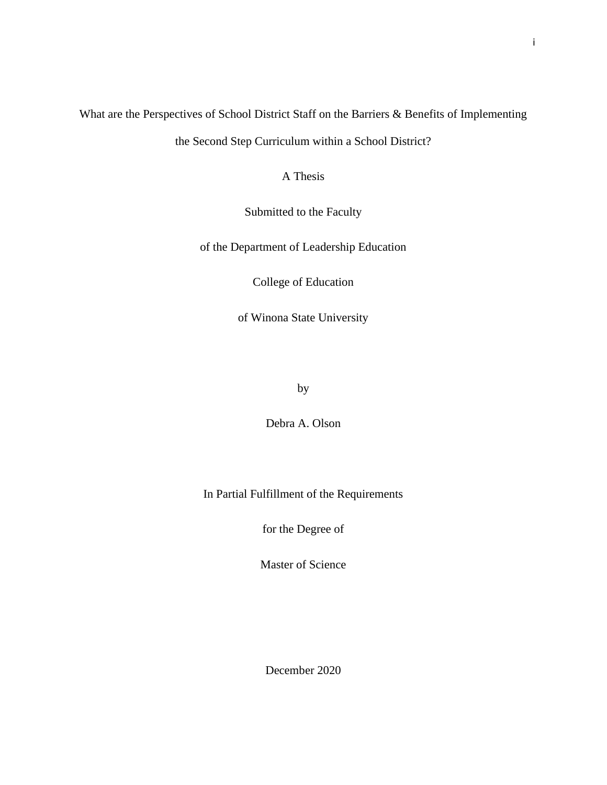# What are the Perspectives of School District Staff on the Barriers & Benefits of Implementing

the Second Step Curriculum within a School District?

A Thesis

Submitted to the Faculty

of the Department of Leadership Education

College of Education

of Winona State University

by

Debra A. Olson

In Partial Fulfillment of the Requirements

for the Degree of

Master of Science

December 2020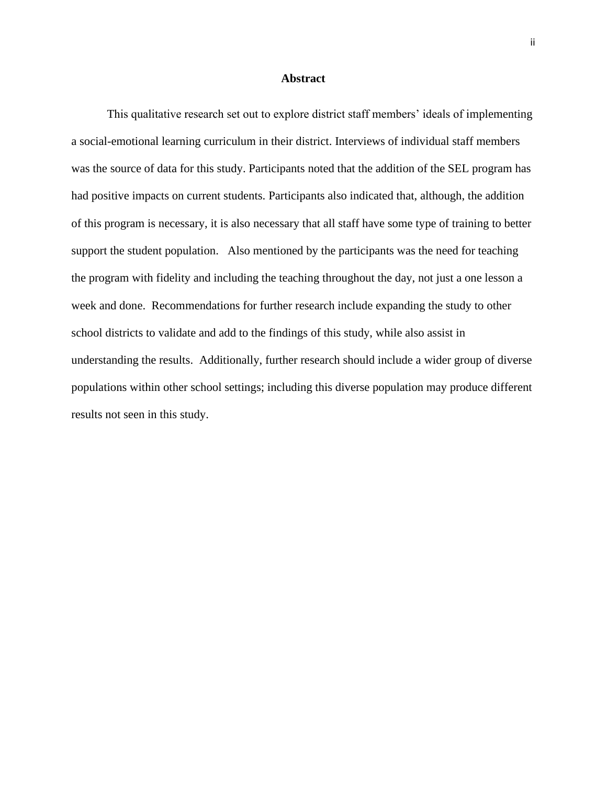#### **Abstract**

<span id="page-2-0"></span>This qualitative research set out to explore district staff members' ideals of implementing a social-emotional learning curriculum in their district. Interviews of individual staff members was the source of data for this study. Participants noted that the addition of the SEL program has had positive impacts on current students. Participants also indicated that, although, the addition of this program is necessary, it is also necessary that all staff have some type of training to better support the student population. Also mentioned by the participants was the need for teaching the program with fidelity and including the teaching throughout the day, not just a one lesson a week and done. Recommendations for further research include expanding the study to other school districts to validate and add to the findings of this study, while also assist in understanding the results. Additionally, further research should include a wider group of diverse populations within other school settings; including this diverse population may produce different results not seen in this study.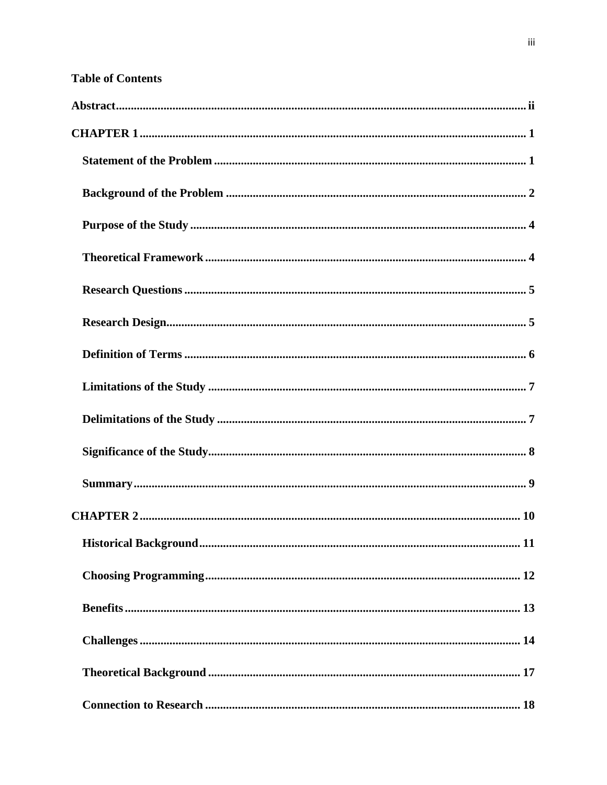# **Table of Contents**

| 11 |
|----|
|    |
|    |
|    |
|    |
|    |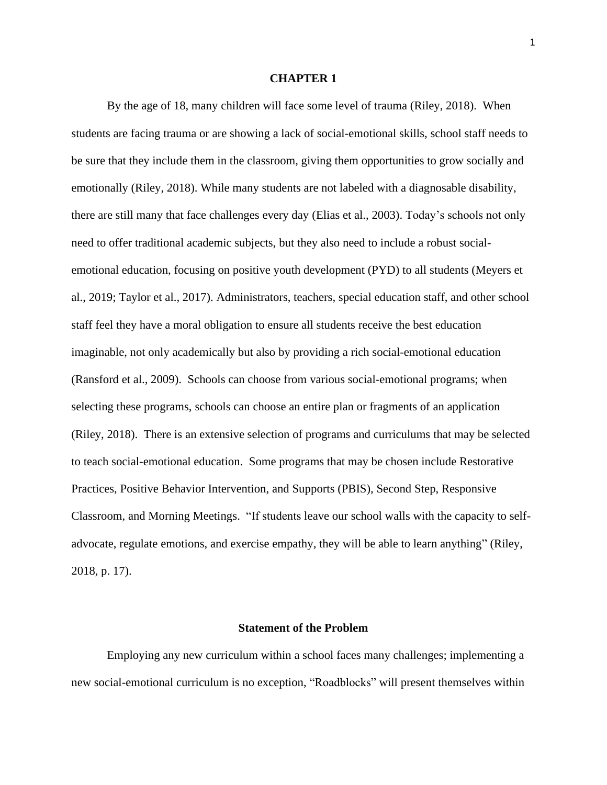#### **CHAPTER 1**

<span id="page-6-0"></span>By the age of 18, many children will face some level of trauma (Riley, 2018). When students are facing trauma or are showing a lack of social-emotional skills, school staff needs to be sure that they include them in the classroom, giving them opportunities to grow socially and emotionally (Riley, 2018). While many students are not labeled with a diagnosable disability, there are still many that face challenges every day (Elias et al., 2003). Today's schools not only need to offer traditional academic subjects, but they also need to include a robust socialemotional education, focusing on positive youth development (PYD) to all students (Meyers et al., 2019; Taylor et al., 2017). Administrators, teachers, special education staff, and other school staff feel they have a moral obligation to ensure all students receive the best education imaginable, not only academically but also by providing a rich social-emotional education (Ransford et al., 2009). Schools can choose from various social-emotional programs; when selecting these programs, schools can choose an entire plan or fragments of an application (Riley, 2018). There is an extensive selection of programs and curriculums that may be selected to teach social-emotional education. Some programs that may be chosen include Restorative Practices, Positive Behavior Intervention, and Supports (PBIS), Second Step, Responsive Classroom, and Morning Meetings. "If students leave our school walls with the capacity to selfadvocate, regulate emotions, and exercise empathy, they will be able to learn anything" (Riley, 2018, p. 17).

## **Statement of the Problem**

<span id="page-6-1"></span>Employing any new curriculum within a school faces many challenges; implementing a new social-emotional curriculum is no exception, "Roadblocks" will present themselves within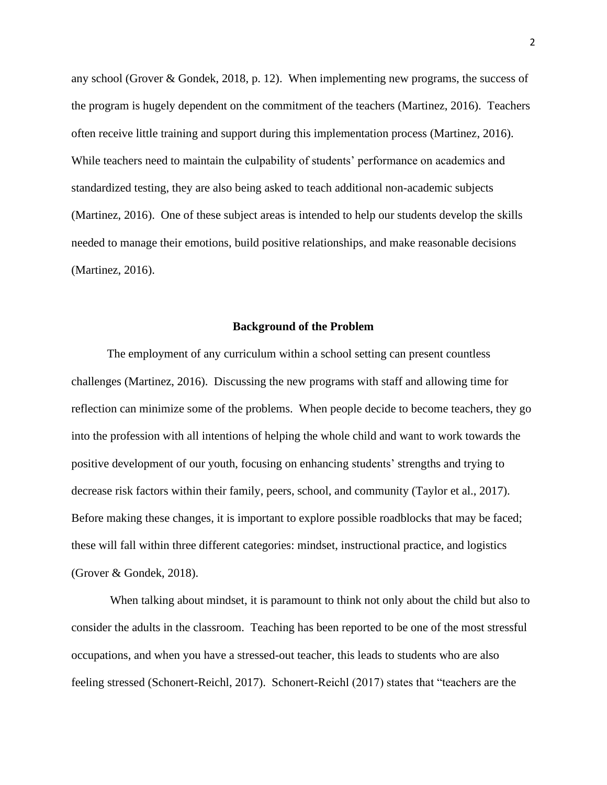any school (Grover & Gondek, 2018, p. 12). When implementing new programs, the success of the program is hugely dependent on the commitment of the teachers (Martinez, 2016). Teachers often receive little training and support during this implementation process (Martinez, 2016). While teachers need to maintain the culpability of students' performance on academics and standardized testing, they are also being asked to teach additional non-academic subjects (Martinez, 2016). One of these subject areas is intended to help our students develop the skills needed to manage their emotions, build positive relationships, and make reasonable decisions (Martinez, 2016).

#### **Background of the Problem**

<span id="page-7-0"></span>The employment of any curriculum within a school setting can present countless challenges (Martinez, 2016). Discussing the new programs with staff and allowing time for reflection can minimize some of the problems. When people decide to become teachers, they go into the profession with all intentions of helping the whole child and want to work towards the positive development of our youth, focusing on enhancing students' strengths and trying to decrease risk factors within their family, peers, school, and community (Taylor et al., 2017). Before making these changes, it is important to explore possible roadblocks that may be faced; these will fall within three different categories: mindset, instructional practice, and logistics (Grover & Gondek, 2018).

When talking about mindset, it is paramount to think not only about the child but also to consider the adults in the classroom. Teaching has been reported to be one of the most stressful occupations, and when you have a stressed-out teacher, this leads to students who are also feeling stressed (Schonert-Reichl, 2017). Schonert-Reichl (2017) states that "teachers are the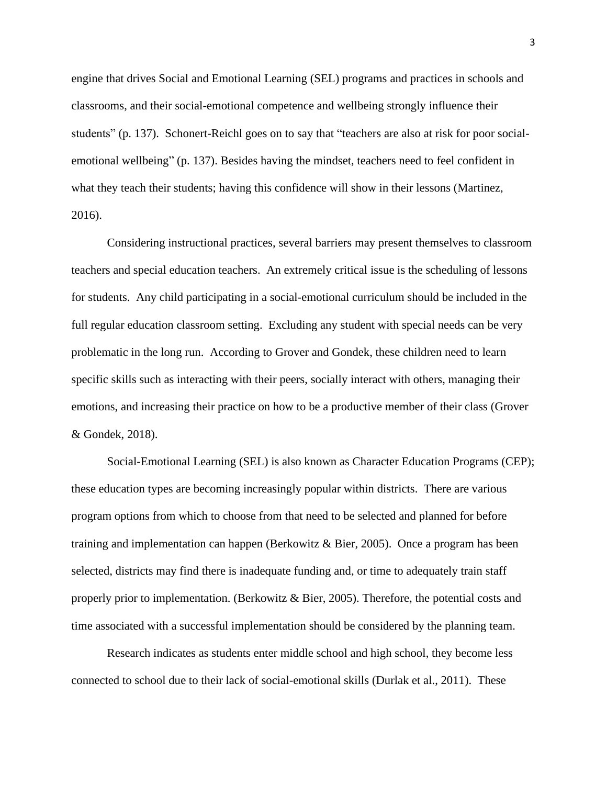engine that drives Social and Emotional Learning (SEL) programs and practices in schools and classrooms, and their social-emotional competence and wellbeing strongly influence their students" (p. 137). Schonert-Reichl goes on to say that "teachers are also at risk for poor socialemotional wellbeing" (p. 137). Besides having the mindset, teachers need to feel confident in what they teach their students; having this confidence will show in their lessons (Martinez, 2016).

Considering instructional practices, several barriers may present themselves to classroom teachers and special education teachers. An extremely critical issue is the scheduling of lessons for students. Any child participating in a social-emotional curriculum should be included in the full regular education classroom setting. Excluding any student with special needs can be very problematic in the long run. According to Grover and Gondek, these children need to learn specific skills such as interacting with their peers, socially interact with others, managing their emotions, and increasing their practice on how to be a productive member of their class (Grover & Gondek, 2018).

Social-Emotional Learning (SEL) is also known as Character Education Programs (CEP); these education types are becoming increasingly popular within districts. There are various program options from which to choose from that need to be selected and planned for before training and implementation can happen (Berkowitz & Bier, 2005). Once a program has been selected, districts may find there is inadequate funding and, or time to adequately train staff properly prior to implementation. (Berkowitz  $\&$  Bier, 2005). Therefore, the potential costs and time associated with a successful implementation should be considered by the planning team.

Research indicates as students enter middle school and high school, they become less connected to school due to their lack of social-emotional skills (Durlak et al., 2011). These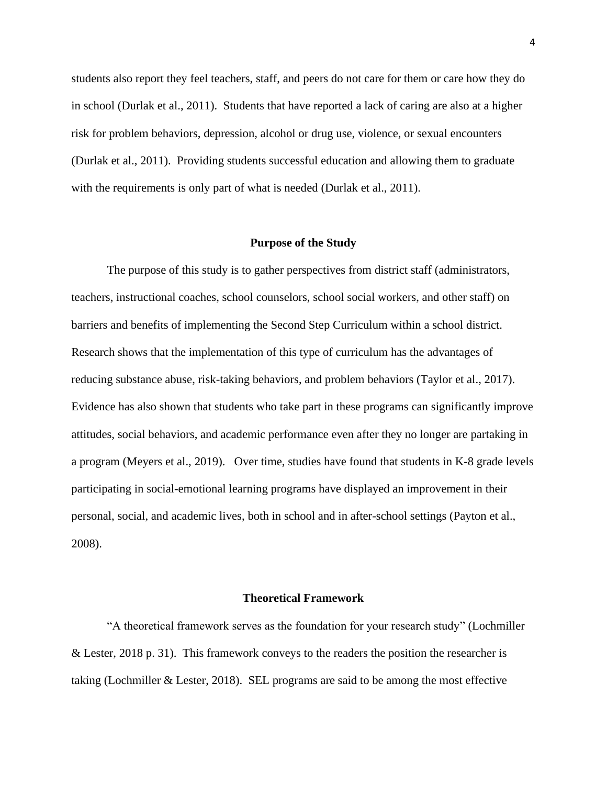students also report they feel teachers, staff, and peers do not care for them or care how they do in school (Durlak et al., 2011). Students that have reported a lack of caring are also at a higher risk for problem behaviors, depression, alcohol or drug use, violence, or sexual encounters (Durlak et al., 2011). Providing students successful education and allowing them to graduate with the requirements is only part of what is needed (Durlak et al., 2011).

#### **Purpose of the Study**

<span id="page-9-0"></span>The purpose of this study is to gather perspectives from district staff (administrators, teachers, instructional coaches, school counselors, school social workers, and other staff) on barriers and benefits of implementing the Second Step Curriculum within a school district. Research shows that the implementation of this type of curriculum has the advantages of reducing substance abuse, risk-taking behaviors, and problem behaviors (Taylor et al., 2017). Evidence has also shown that students who take part in these programs can significantly improve attitudes, social behaviors, and academic performance even after they no longer are partaking in a program (Meyers et al., 2019). Over time, studies have found that students in K-8 grade levels participating in social-emotional learning programs have displayed an improvement in their personal, social, and academic lives, both in school and in after-school settings (Payton et al., 2008).

#### **Theoretical Framework**

<span id="page-9-1"></span>"A theoretical framework serves as the foundation for your research study" (Lochmiller & Lester, 2018 p. 31). This framework conveys to the readers the position the researcher is taking (Lochmiller & Lester, 2018). SEL programs are said to be among the most effective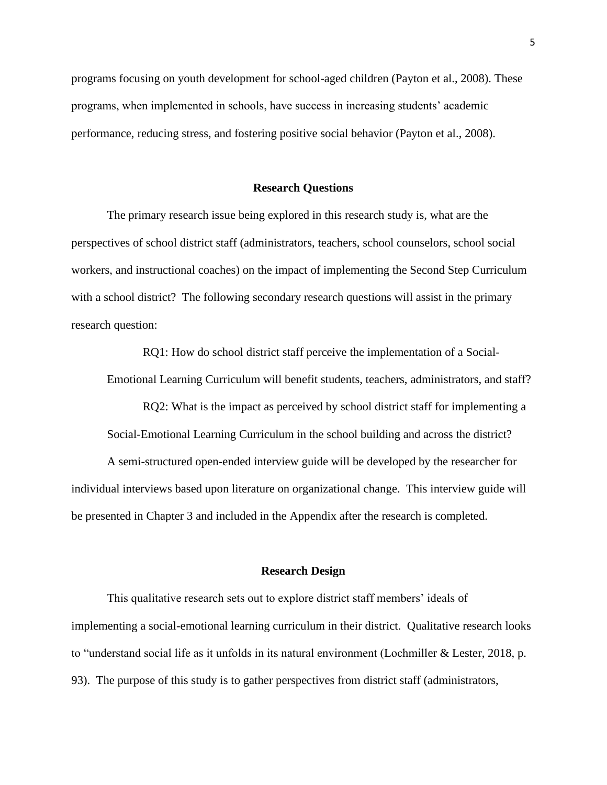programs focusing on youth development for school-aged children (Payton et al., 2008). These programs, when implemented in schools, have success in increasing students' academic performance, reducing stress, and fostering positive social behavior (Payton et al., 2008).

#### **Research Questions**

<span id="page-10-0"></span>The primary research issue being explored in this research study is, what are the perspectives of school district staff (administrators, teachers, school counselors, school social workers, and instructional coaches) on the impact of implementing the Second Step Curriculum with a school district? The following secondary research questions will assist in the primary research question:

RQ1: How do school district staff perceive the implementation of a Social-Emotional Learning Curriculum will benefit students, teachers, administrators, and staff?

RQ2: What is the impact as perceived by school district staff for implementing a Social-Emotional Learning Curriculum in the school building and across the district?

A semi-structured open-ended interview guide will be developed by the researcher for individual interviews based upon literature on organizational change. This interview guide will be presented in Chapter 3 and included in the Appendix after the research is completed.

#### **Research Design**

<span id="page-10-1"></span>This qualitative research sets out to explore district staff members' ideals of implementing a social-emotional learning curriculum in their district. Qualitative research looks to "understand social life as it unfolds in its natural environment (Lochmiller & Lester, 2018, p. 93). The purpose of this study is to gather perspectives from district staff (administrators,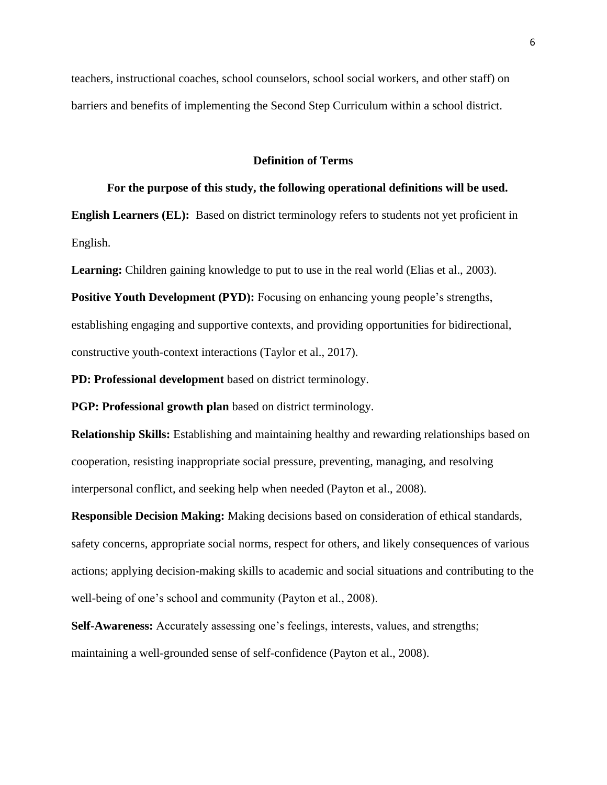teachers, instructional coaches, school counselors, school social workers, and other staff) on barriers and benefits of implementing the Second Step Curriculum within a school district.

#### **Definition of Terms**

## <span id="page-11-0"></span>**For the purpose of this study, the following operational definitions will be used.**

**English Learners (EL):** Based on district terminology refers to students not yet proficient in English.

**Learning:** Children gaining knowledge to put to use in the real world (Elias et al., 2003).

**Positive Youth Development (PYD):** Focusing on enhancing young people's strengths, establishing engaging and supportive contexts, and providing opportunities for bidirectional, constructive youth-context interactions (Taylor et al., 2017).

**PD: Professional development** based on district terminology.

**PGP: Professional growth plan** based on district terminology.

**Relationship Skills:** Establishing and maintaining healthy and rewarding relationships based on cooperation, resisting inappropriate social pressure, preventing, managing, and resolving interpersonal conflict, and seeking help when needed (Payton et al., 2008).

**Responsible Decision Making:** Making decisions based on consideration of ethical standards, safety concerns, appropriate social norms, respect for others, and likely consequences of various actions; applying decision-making skills to academic and social situations and contributing to the well-being of one's school and community (Payton et al., 2008).

**Self-Awareness:** Accurately assessing one's feelings, interests, values, and strengths; maintaining a well-grounded sense of self-confidence (Payton et al., 2008).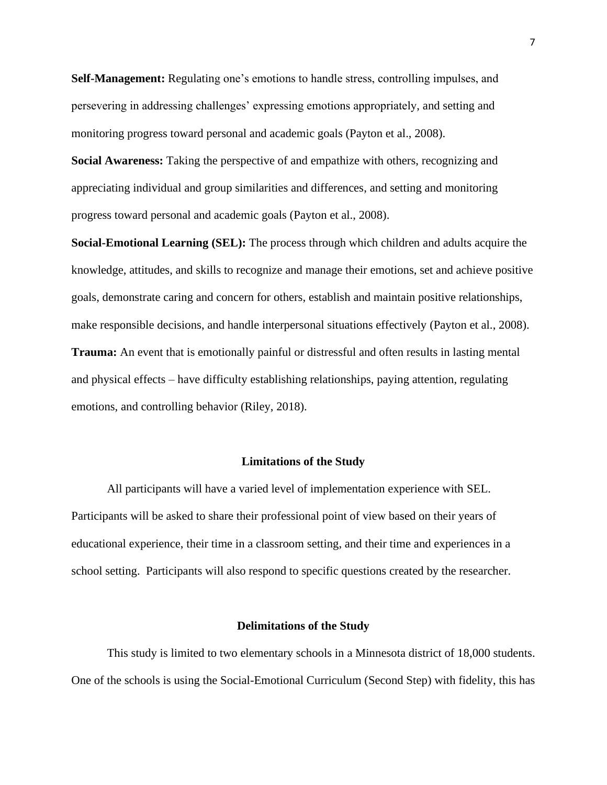**Self-Management:** Regulating one's emotions to handle stress, controlling impulses, and persevering in addressing challenges' expressing emotions appropriately, and setting and monitoring progress toward personal and academic goals (Payton et al., 2008).

**Social Awareness:** Taking the perspective of and empathize with others, recognizing and appreciating individual and group similarities and differences, and setting and monitoring progress toward personal and academic goals (Payton et al., 2008).

**Social-Emotional Learning (SEL):** The process through which children and adults acquire the knowledge, attitudes, and skills to recognize and manage their emotions, set and achieve positive goals, demonstrate caring and concern for others, establish and maintain positive relationships, make responsible decisions, and handle interpersonal situations effectively (Payton et al., 2008). **Trauma:** An event that is emotionally painful or distressful and often results in lasting mental and physical effects – have difficulty establishing relationships, paying attention, regulating emotions, and controlling behavior (Riley, 2018).

#### **Limitations of the Study**

<span id="page-12-0"></span>All participants will have a varied level of implementation experience with SEL. Participants will be asked to share their professional point of view based on their years of educational experience, their time in a classroom setting, and their time and experiences in a school setting. Participants will also respond to specific questions created by the researcher.

#### **Delimitations of the Study**

<span id="page-12-1"></span>This study is limited to two elementary schools in a Minnesota district of 18,000 students. One of the schools is using the Social-Emotional Curriculum (Second Step) with fidelity, this has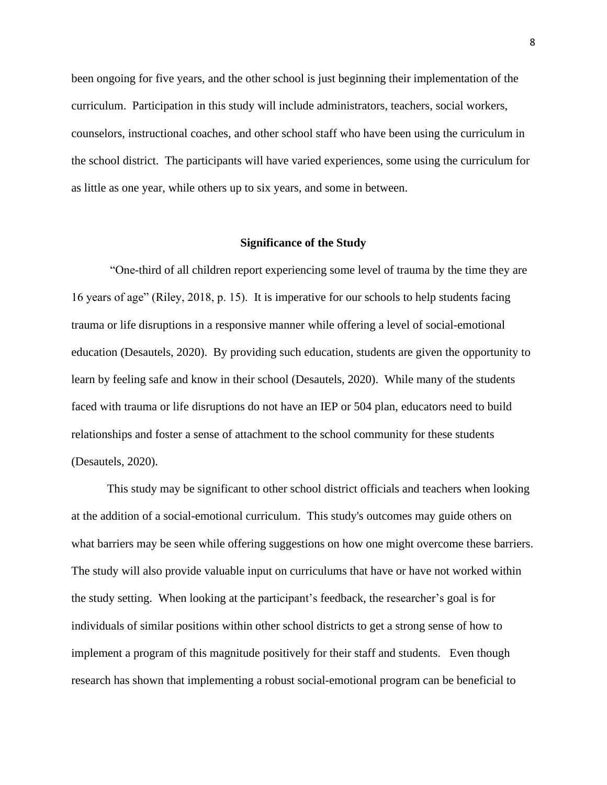been ongoing for five years, and the other school is just beginning their implementation of the curriculum. Participation in this study will include administrators, teachers, social workers, counselors, instructional coaches, and other school staff who have been using the curriculum in the school district. The participants will have varied experiences, some using the curriculum for as little as one year, while others up to six years, and some in between.

#### **Significance of the Study**

<span id="page-13-0"></span>"One-third of all children report experiencing some level of trauma by the time they are 16 years of age" (Riley, 2018, p. 15). It is imperative for our schools to help students facing trauma or life disruptions in a responsive manner while offering a level of social-emotional education (Desautels, 2020). By providing such education, students are given the opportunity to learn by feeling safe and know in their school (Desautels, 2020). While many of the students faced with trauma or life disruptions do not have an IEP or 504 plan, educators need to build relationships and foster a sense of attachment to the school community for these students (Desautels, 2020).

This study may be significant to other school district officials and teachers when looking at the addition of a social-emotional curriculum. This study's outcomes may guide others on what barriers may be seen while offering suggestions on how one might overcome these barriers. The study will also provide valuable input on curriculums that have or have not worked within the study setting. When looking at the participant's feedback, the researcher's goal is for individuals of similar positions within other school districts to get a strong sense of how to implement a program of this magnitude positively for their staff and students. Even though research has shown that implementing a robust social-emotional program can be beneficial to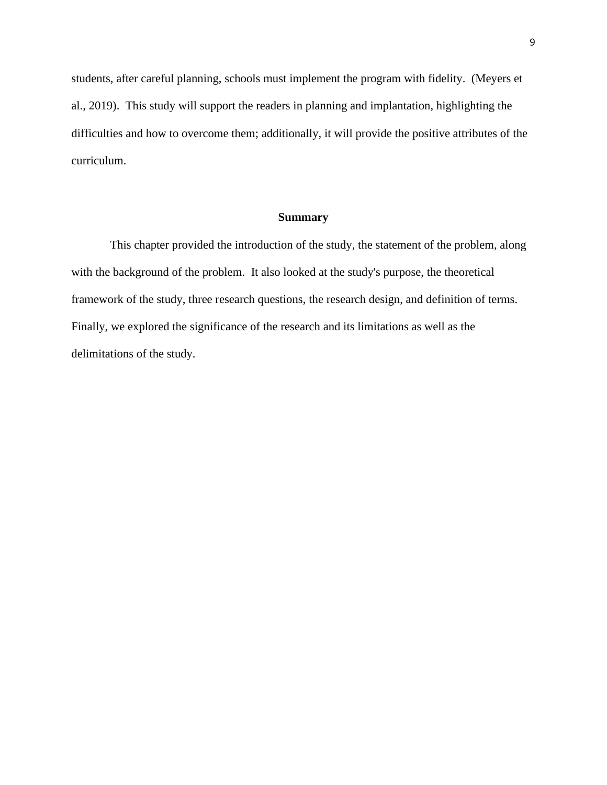students, after careful planning, schools must implement the program with fidelity. (Meyers et al., 2019). This study will support the readers in planning and implantation, highlighting the difficulties and how to overcome them; additionally, it will provide the positive attributes of the curriculum.

#### **Summary**

<span id="page-14-0"></span>This chapter provided the introduction of the study, the statement of the problem, along with the background of the problem. It also looked at the study's purpose, the theoretical framework of the study, three research questions, the research design, and definition of terms. Finally, we explored the significance of the research and its limitations as well as the delimitations of the study.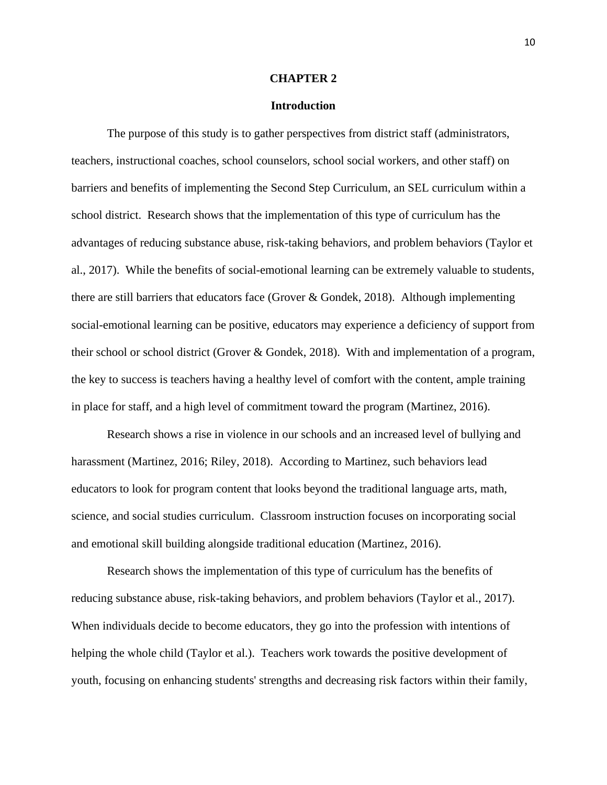#### **CHAPTER 2**

#### **Introduction**

<span id="page-15-0"></span>The purpose of this study is to gather perspectives from district staff (administrators, teachers, instructional coaches, school counselors, school social workers, and other staff) on barriers and benefits of implementing the Second Step Curriculum, an SEL curriculum within a school district. Research shows that the implementation of this type of curriculum has the advantages of reducing substance abuse, risk-taking behaviors, and problem behaviors (Taylor et al., 2017). While the benefits of social-emotional learning can be extremely valuable to students, there are still barriers that educators face (Grover & Gondek, 2018). Although implementing social-emotional learning can be positive, educators may experience a deficiency of support from their school or school district (Grover & Gondek, 2018). With and implementation of a program, the key to success is teachers having a healthy level of comfort with the content, ample training in place for staff, and a high level of commitment toward the program (Martinez, 2016).

Research shows a rise in violence in our schools and an increased level of bullying and harassment (Martinez, 2016; Riley, 2018). According to Martinez, such behaviors lead educators to look for program content that looks beyond the traditional language arts, math, science, and social studies curriculum. Classroom instruction focuses on incorporating social and emotional skill building alongside traditional education (Martinez, 2016).

Research shows the implementation of this type of curriculum has the benefits of reducing substance abuse, risk-taking behaviors, and problem behaviors (Taylor et al., 2017). When individuals decide to become educators, they go into the profession with intentions of helping the whole child (Taylor et al.). Teachers work towards the positive development of youth, focusing on enhancing students' strengths and decreasing risk factors within their family,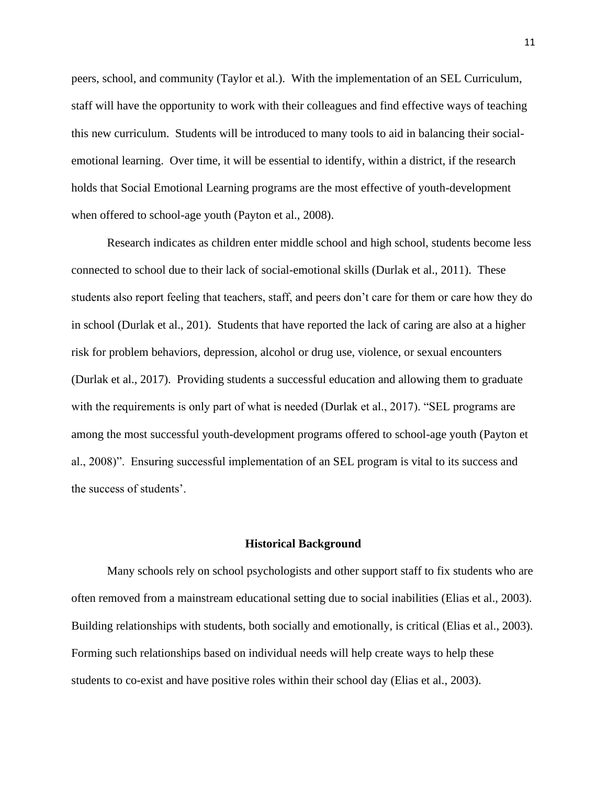peers, school, and community (Taylor et al.). With the implementation of an SEL Curriculum, staff will have the opportunity to work with their colleagues and find effective ways of teaching this new curriculum. Students will be introduced to many tools to aid in balancing their socialemotional learning. Over time, it will be essential to identify, within a district, if the research holds that Social Emotional Learning programs are the most effective of youth-development when offered to school-age youth (Payton et al., 2008).

Research indicates as children enter middle school and high school, students become less connected to school due to their lack of social-emotional skills (Durlak et al., 2011). These students also report feeling that teachers, staff, and peers don't care for them or care how they do in school (Durlak et al., 201). Students that have reported the lack of caring are also at a higher risk for problem behaviors, depression, alcohol or drug use, violence, or sexual encounters (Durlak et al., 2017). Providing students a successful education and allowing them to graduate with the requirements is only part of what is needed (Durlak et al., 2017). "SEL programs are among the most successful youth-development programs offered to school-age youth (Payton et al., 2008)". Ensuring successful implementation of an SEL program is vital to its success and the success of students'.

#### **Historical Background**

<span id="page-16-0"></span>Many schools rely on school psychologists and other support staff to fix students who are often removed from a mainstream educational setting due to social inabilities (Elias et al., 2003). Building relationships with students, both socially and emotionally, is critical (Elias et al., 2003). Forming such relationships based on individual needs will help create ways to help these students to co-exist and have positive roles within their school day (Elias et al., 2003).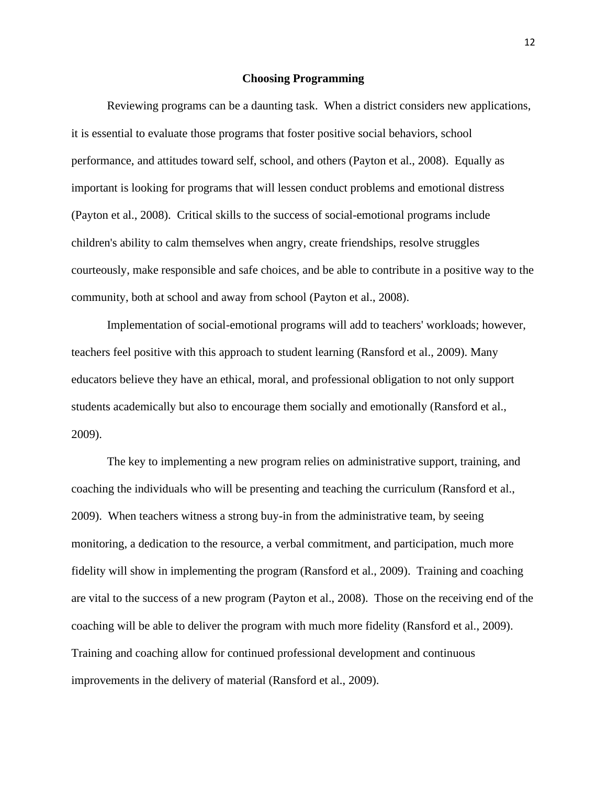#### **Choosing Programming**

<span id="page-17-0"></span>Reviewing programs can be a daunting task. When a district considers new applications, it is essential to evaluate those programs that foster positive social behaviors, school performance, and attitudes toward self, school, and others (Payton et al., 2008). Equally as important is looking for programs that will lessen conduct problems and emotional distress (Payton et al., 2008). Critical skills to the success of social-emotional programs include children's ability to calm themselves when angry, create friendships, resolve struggles courteously, make responsible and safe choices, and be able to contribute in a positive way to the community, both at school and away from school (Payton et al., 2008).

Implementation of social-emotional programs will add to teachers' workloads; however, teachers feel positive with this approach to student learning (Ransford et al., 2009). Many educators believe they have an ethical, moral, and professional obligation to not only support students academically but also to encourage them socially and emotionally (Ransford et al., 2009).

The key to implementing a new program relies on administrative support, training, and coaching the individuals who will be presenting and teaching the curriculum (Ransford et al., 2009). When teachers witness a strong buy-in from the administrative team, by seeing monitoring, a dedication to the resource, a verbal commitment, and participation, much more fidelity will show in implementing the program (Ransford et al., 2009). Training and coaching are vital to the success of a new program (Payton et al., 2008). Those on the receiving end of the coaching will be able to deliver the program with much more fidelity (Ransford et al., 2009). Training and coaching allow for continued professional development and continuous improvements in the delivery of material (Ransford et al., 2009).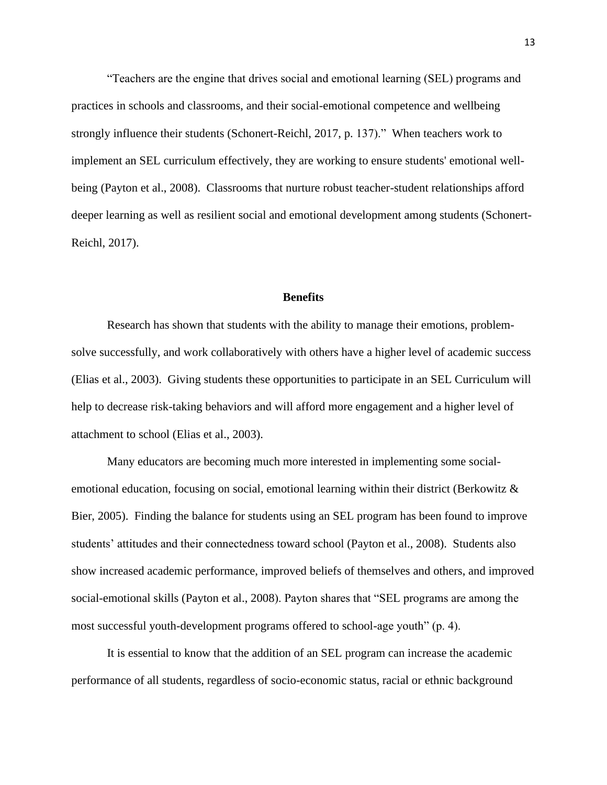"Teachers are the engine that drives social and emotional learning (SEL) programs and practices in schools and classrooms, and their social-emotional competence and wellbeing strongly influence their students (Schonert-Reichl, 2017, p. 137)." When teachers work to implement an SEL curriculum effectively, they are working to ensure students' emotional wellbeing (Payton et al., 2008). Classrooms that nurture robust teacher-student relationships afford deeper learning as well as resilient social and emotional development among students (Schonert-Reichl, 2017).

#### **Benefits**

<span id="page-18-0"></span>Research has shown that students with the ability to manage their emotions, problemsolve successfully, and work collaboratively with others have a higher level of academic success (Elias et al., 2003). Giving students these opportunities to participate in an SEL Curriculum will help to decrease risk-taking behaviors and will afford more engagement and a higher level of attachment to school (Elias et al., 2003).

Many educators are becoming much more interested in implementing some socialemotional education, focusing on social, emotional learning within their district (Berkowitz & Bier, 2005). Finding the balance for students using an SEL program has been found to improve students' attitudes and their connectedness toward school (Payton et al., 2008). Students also show increased academic performance, improved beliefs of themselves and others, and improved social-emotional skills (Payton et al., 2008). Payton shares that "SEL programs are among the most successful youth-development programs offered to school-age youth" (p. 4).

It is essential to know that the addition of an SEL program can increase the academic performance of all students, regardless of socio-economic status, racial or ethnic background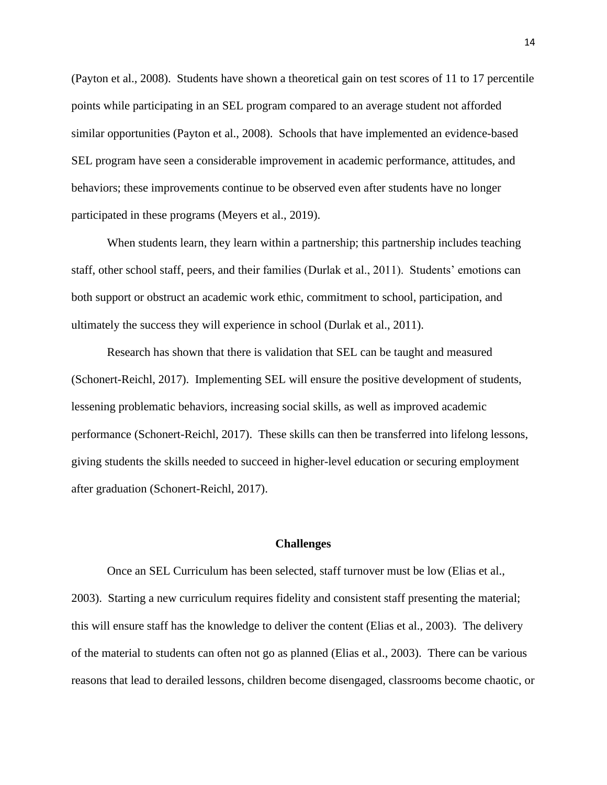(Payton et al., 2008). Students have shown a theoretical gain on test scores of 11 to 17 percentile points while participating in an SEL program compared to an average student not afforded similar opportunities (Payton et al., 2008). Schools that have implemented an evidence-based SEL program have seen a considerable improvement in academic performance, attitudes, and behaviors; these improvements continue to be observed even after students have no longer participated in these programs (Meyers et al., 2019).

When students learn, they learn within a partnership; this partnership includes teaching staff, other school staff, peers, and their families (Durlak et al., 2011). Students' emotions can both support or obstruct an academic work ethic, commitment to school, participation, and ultimately the success they will experience in school (Durlak et al., 2011).

Research has shown that there is validation that SEL can be taught and measured (Schonert-Reichl, 2017). Implementing SEL will ensure the positive development of students, lessening problematic behaviors, increasing social skills, as well as improved academic performance (Schonert-Reichl, 2017). These skills can then be transferred into lifelong lessons, giving students the skills needed to succeed in higher-level education or securing employment after graduation (Schonert-Reichl, 2017).

#### **Challenges**

<span id="page-19-0"></span>Once an SEL Curriculum has been selected, staff turnover must be low (Elias et al., 2003). Starting a new curriculum requires fidelity and consistent staff presenting the material; this will ensure staff has the knowledge to deliver the content (Elias et al., 2003). The delivery of the material to students can often not go as planned (Elias et al., 2003). There can be various reasons that lead to derailed lessons, children become disengaged, classrooms become chaotic, or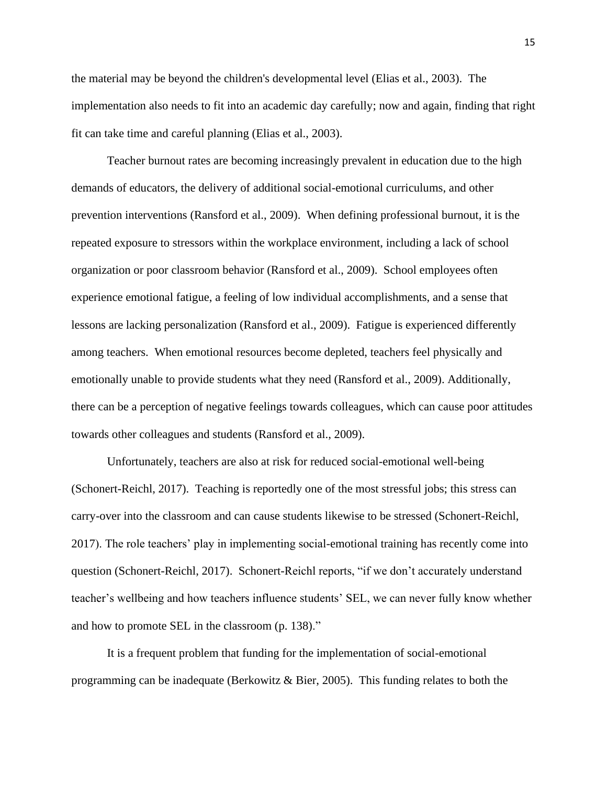the material may be beyond the children's developmental level (Elias et al., 2003). The implementation also needs to fit into an academic day carefully; now and again, finding that right fit can take time and careful planning (Elias et al., 2003).

Teacher burnout rates are becoming increasingly prevalent in education due to the high demands of educators, the delivery of additional social-emotional curriculums, and other prevention interventions (Ransford et al., 2009). When defining professional burnout, it is the repeated exposure to stressors within the workplace environment, including a lack of school organization or poor classroom behavior (Ransford et al., 2009). School employees often experience emotional fatigue, a feeling of low individual accomplishments, and a sense that lessons are lacking personalization (Ransford et al., 2009). Fatigue is experienced differently among teachers. When emotional resources become depleted, teachers feel physically and emotionally unable to provide students what they need (Ransford et al., 2009). Additionally, there can be a perception of negative feelings towards colleagues, which can cause poor attitudes towards other colleagues and students (Ransford et al., 2009).

Unfortunately, teachers are also at risk for reduced social-emotional well-being (Schonert-Reichl, 2017). Teaching is reportedly one of the most stressful jobs; this stress can carry-over into the classroom and can cause students likewise to be stressed (Schonert-Reichl, 2017). The role teachers' play in implementing social-emotional training has recently come into question (Schonert-Reichl, 2017). Schonert-Reichl reports, "if we don't accurately understand teacher's wellbeing and how teachers influence students' SEL, we can never fully know whether and how to promote SEL in the classroom (p. 138)."

It is a frequent problem that funding for the implementation of social-emotional programming can be inadequate (Berkowitz & Bier, 2005). This funding relates to both the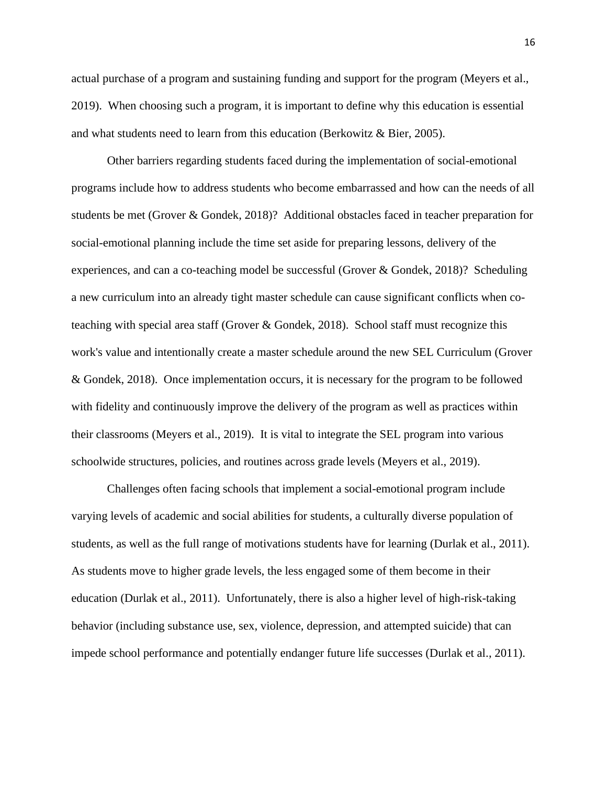actual purchase of a program and sustaining funding and support for the program (Meyers et al., 2019). When choosing such a program, it is important to define why this education is essential and what students need to learn from this education (Berkowitz & Bier, 2005).

Other barriers regarding students faced during the implementation of social-emotional programs include how to address students who become embarrassed and how can the needs of all students be met (Grover & Gondek, 2018)? Additional obstacles faced in teacher preparation for social-emotional planning include the time set aside for preparing lessons, delivery of the experiences, and can a co-teaching model be successful (Grover & Gondek, 2018)? Scheduling a new curriculum into an already tight master schedule can cause significant conflicts when coteaching with special area staff (Grover & Gondek, 2018). School staff must recognize this work's value and intentionally create a master schedule around the new SEL Curriculum (Grover & Gondek, 2018). Once implementation occurs, it is necessary for the program to be followed with fidelity and continuously improve the delivery of the program as well as practices within their classrooms (Meyers et al., 2019). It is vital to integrate the SEL program into various schoolwide structures, policies, and routines across grade levels (Meyers et al., 2019).

Challenges often facing schools that implement a social-emotional program include varying levels of academic and social abilities for students, a culturally diverse population of students, as well as the full range of motivations students have for learning (Durlak et al., 2011). As students move to higher grade levels, the less engaged some of them become in their education (Durlak et al., 2011). Unfortunately, there is also a higher level of high-risk-taking behavior (including substance use, sex, violence, depression, and attempted suicide) that can impede school performance and potentially endanger future life successes (Durlak et al., 2011).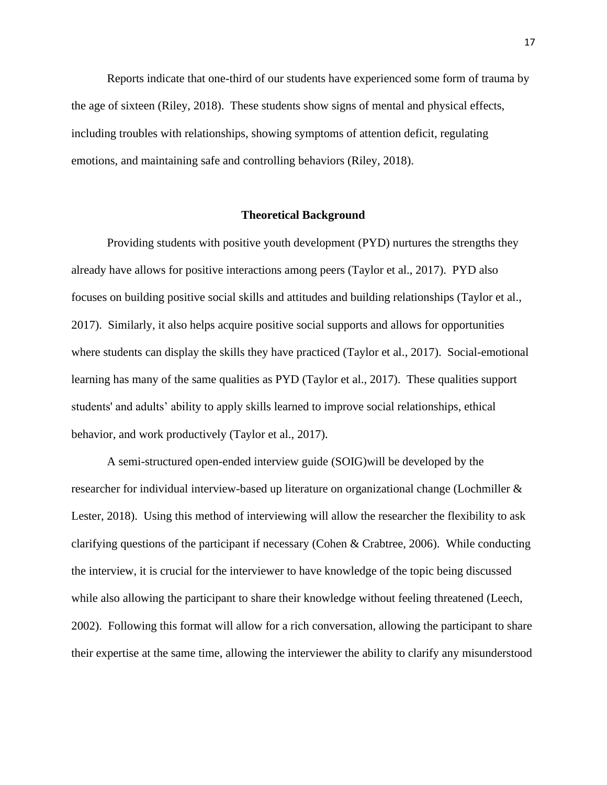Reports indicate that one-third of our students have experienced some form of trauma by the age of sixteen (Riley, 2018). These students show signs of mental and physical effects, including troubles with relationships, showing symptoms of attention deficit, regulating emotions, and maintaining safe and controlling behaviors (Riley, 2018).

#### **Theoretical Background**

<span id="page-22-0"></span>Providing students with positive youth development (PYD) nurtures the strengths they already have allows for positive interactions among peers (Taylor et al., 2017). PYD also focuses on building positive social skills and attitudes and building relationships (Taylor et al., 2017). Similarly, it also helps acquire positive social supports and allows for opportunities where students can display the skills they have practiced (Taylor et al., 2017). Social-emotional learning has many of the same qualities as PYD (Taylor et al., 2017). These qualities support students' and adults' ability to apply skills learned to improve social relationships, ethical behavior, and work productively (Taylor et al., 2017).

A semi-structured open-ended interview guide (SOIG)will be developed by the researcher for individual interview-based up literature on organizational change (Lochmiller & Lester, 2018). Using this method of interviewing will allow the researcher the flexibility to ask clarifying questions of the participant if necessary (Cohen & Crabtree, 2006). While conducting the interview, it is crucial for the interviewer to have knowledge of the topic being discussed while also allowing the participant to share their knowledge without feeling threatened (Leech, 2002). Following this format will allow for a rich conversation, allowing the participant to share their expertise at the same time, allowing the interviewer the ability to clarify any misunderstood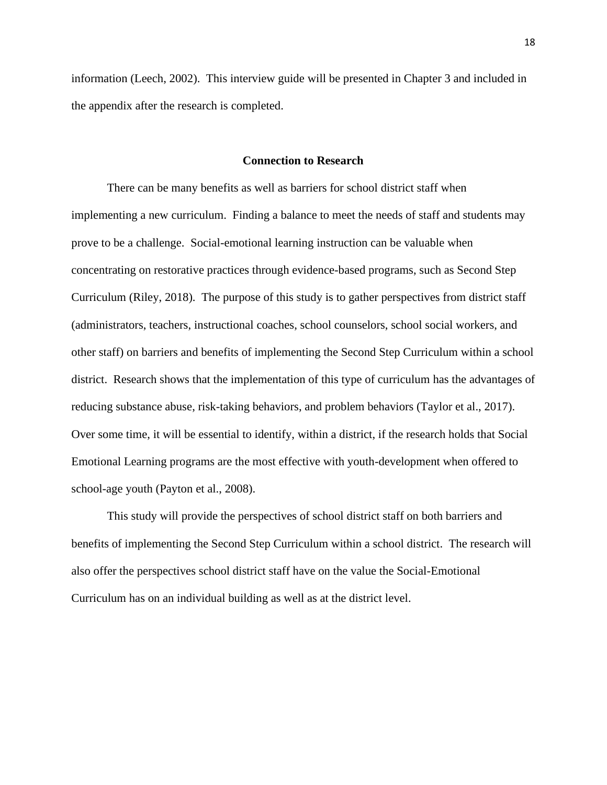information (Leech, 2002). This interview guide will be presented in Chapter 3 and included in the appendix after the research is completed.

#### **Connection to Research**

<span id="page-23-0"></span>There can be many benefits as well as barriers for school district staff when implementing a new curriculum. Finding a balance to meet the needs of staff and students may prove to be a challenge. Social-emotional learning instruction can be valuable when concentrating on restorative practices through evidence-based programs, such as Second Step Curriculum (Riley, 2018). The purpose of this study is to gather perspectives from district staff (administrators, teachers, instructional coaches, school counselors, school social workers, and other staff) on barriers and benefits of implementing the Second Step Curriculum within a school district. Research shows that the implementation of this type of curriculum has the advantages of reducing substance abuse, risk-taking behaviors, and problem behaviors (Taylor et al., 2017). Over some time, it will be essential to identify, within a district, if the research holds that Social Emotional Learning programs are the most effective with youth-development when offered to school-age youth (Payton et al., 2008).

This study will provide the perspectives of school district staff on both barriers and benefits of implementing the Second Step Curriculum within a school district. The research will also offer the perspectives school district staff have on the value the Social-Emotional Curriculum has on an individual building as well as at the district level.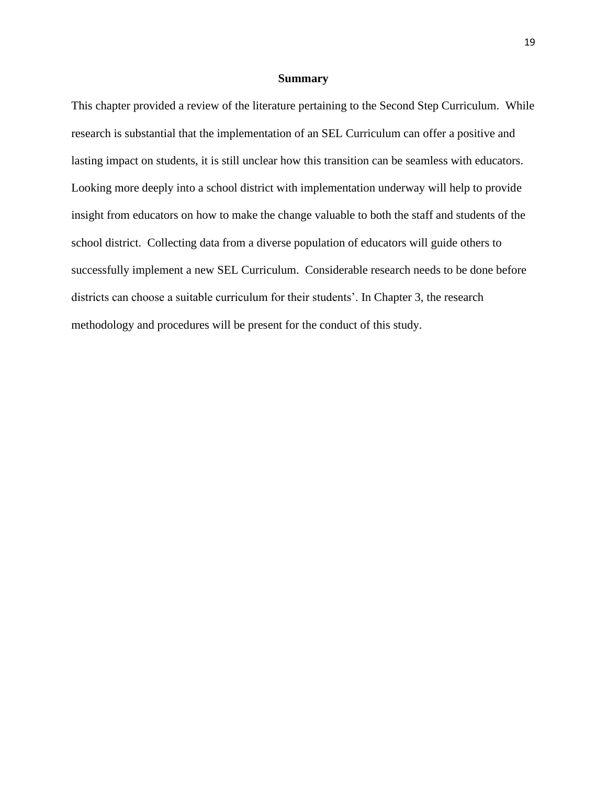#### **Summary**

<span id="page-24-0"></span>This chapter provided a review of the literature pertaining to the Second Step Curriculum. While research is substantial that the implementation of an SEL Curriculum can offer a positive and lasting impact on students, it is still unclear how this transition can be seamless with educators. Looking more deeply into a school district with implementation underway will help to provide insight from educators on how to make the change valuable to both the staff and students of the school district. Collecting data from a diverse population of educators will guide others to successfully implement a new SEL Curriculum. Considerable research needs to be done before districts can choose a suitable curriculum for their students'. In Chapter 3, the research methodology and procedures will be present for the conduct of this study.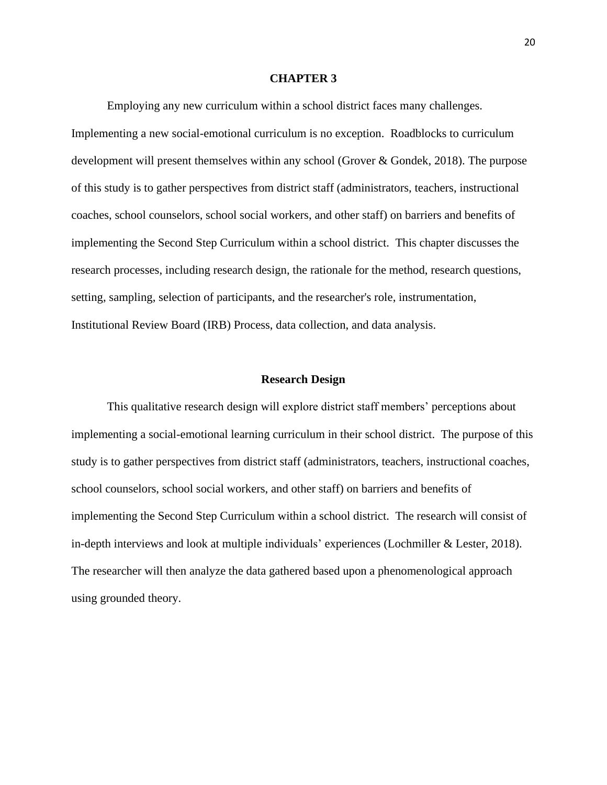#### **CHAPTER 3**

<span id="page-25-0"></span>Employing any new curriculum within a school district faces many challenges. Implementing a new social-emotional curriculum is no exception. Roadblocks to curriculum development will present themselves within any school (Grover & Gondek, 2018). The purpose of this study is to gather perspectives from district staff (administrators, teachers, instructional coaches, school counselors, school social workers, and other staff) on barriers and benefits of implementing the Second Step Curriculum within a school district. This chapter discusses the research processes, including research design, the rationale for the method, research questions, setting, sampling, selection of participants, and the researcher's role, instrumentation, Institutional Review Board (IRB) Process, data collection, and data analysis.

#### **Research Design**

<span id="page-25-1"></span>This qualitative research design will explore district staff members' perceptions about implementing a social-emotional learning curriculum in their school district. The purpose of this study is to gather perspectives from district staff (administrators, teachers, instructional coaches, school counselors, school social workers, and other staff) on barriers and benefits of implementing the Second Step Curriculum within a school district. The research will consist of in-depth interviews and look at multiple individuals' experiences (Lochmiller & Lester, 2018). The researcher will then analyze the data gathered based upon a phenomenological approach using grounded theory.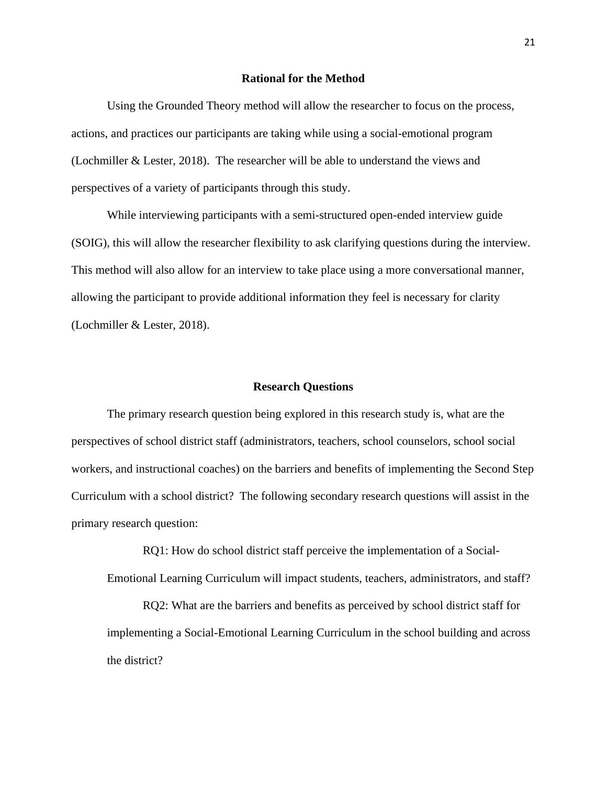#### **Rational for the Method**

<span id="page-26-0"></span>Using the Grounded Theory method will allow the researcher to focus on the process, actions, and practices our participants are taking while using a social-emotional program (Lochmiller & Lester, 2018). The researcher will be able to understand the views and perspectives of a variety of participants through this study.

While interviewing participants with a semi-structured open-ended interview guide (SOIG), this will allow the researcher flexibility to ask clarifying questions during the interview. This method will also allow for an interview to take place using a more conversational manner, allowing the participant to provide additional information they feel is necessary for clarity (Lochmiller & Lester, 2018).

#### **Research Questions**

<span id="page-26-1"></span>The primary research question being explored in this research study is, what are the perspectives of school district staff (administrators, teachers, school counselors, school social workers, and instructional coaches) on the barriers and benefits of implementing the Second Step Curriculum with a school district? The following secondary research questions will assist in the primary research question:

RQ1: How do school district staff perceive the implementation of a Social-Emotional Learning Curriculum will impact students, teachers, administrators, and staff?

RQ2: What are the barriers and benefits as perceived by school district staff for implementing a Social-Emotional Learning Curriculum in the school building and across the district?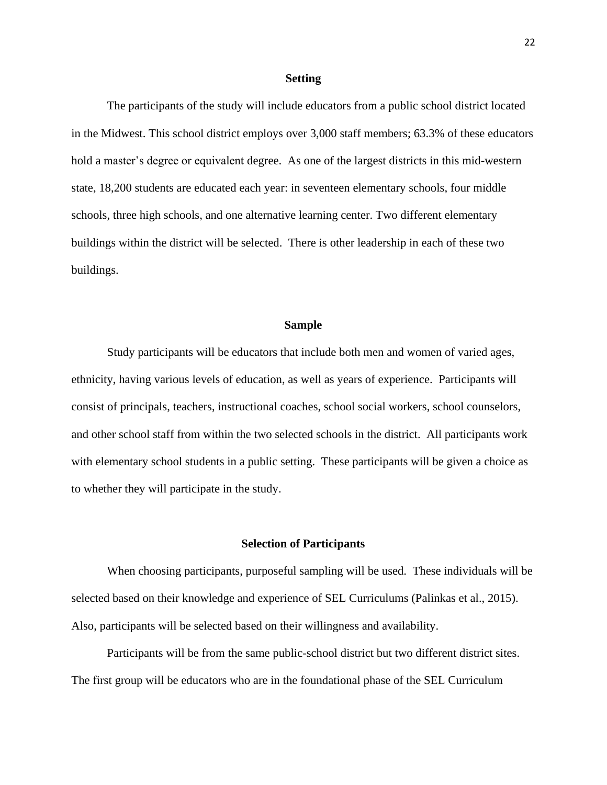#### **Setting**

<span id="page-27-0"></span>The participants of the study will include educators from a public school district located in the Midwest. This school district employs over 3,000 staff members; 63.3% of these educators hold a master's degree or equivalent degree. As one of the largest districts in this mid-western state, 18,200 students are educated each year: in seventeen elementary schools, four middle schools, three high schools, and one alternative learning center. Two different elementary buildings within the district will be selected. There is other leadership in each of these two buildings.

#### **Sample**

<span id="page-27-1"></span>Study participants will be educators that include both men and women of varied ages, ethnicity, having various levels of education, as well as years of experience. Participants will consist of principals, teachers, instructional coaches, school social workers, school counselors, and other school staff from within the two selected schools in the district. All participants work with elementary school students in a public setting. These participants will be given a choice as to whether they will participate in the study.

#### **Selection of Participants**

<span id="page-27-2"></span>When choosing participants, purposeful sampling will be used. These individuals will be selected based on their knowledge and experience of SEL Curriculums (Palinkas et al., 2015). Also, participants will be selected based on their willingness and availability.

Participants will be from the same public-school district but two different district sites. The first group will be educators who are in the foundational phase of the SEL Curriculum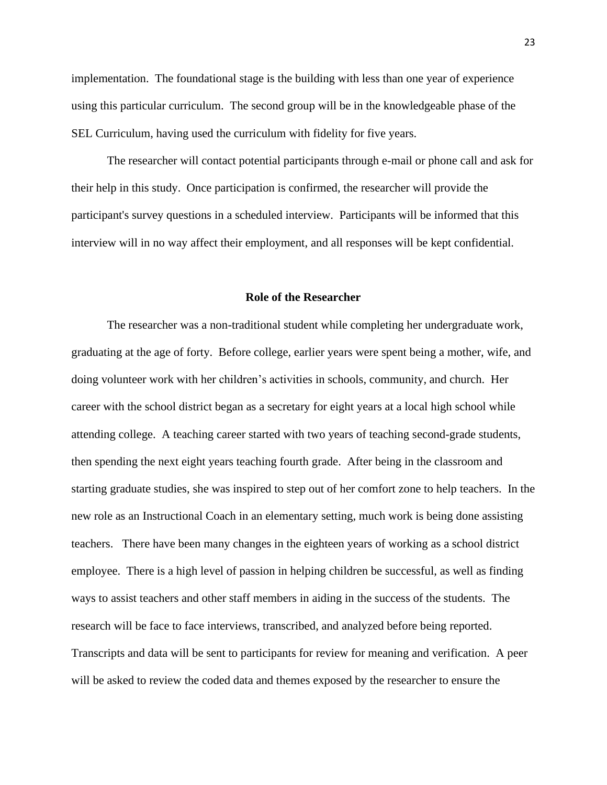implementation. The foundational stage is the building with less than one year of experience using this particular curriculum. The second group will be in the knowledgeable phase of the SEL Curriculum, having used the curriculum with fidelity for five years.

The researcher will contact potential participants through e-mail or phone call and ask for their help in this study. Once participation is confirmed, the researcher will provide the participant's survey questions in a scheduled interview. Participants will be informed that this interview will in no way affect their employment, and all responses will be kept confidential.

#### **Role of the Researcher**

<span id="page-28-0"></span>The researcher was a non-traditional student while completing her undergraduate work, graduating at the age of forty. Before college, earlier years were spent being a mother, wife, and doing volunteer work with her children's activities in schools, community, and church. Her career with the school district began as a secretary for eight years at a local high school while attending college. A teaching career started with two years of teaching second-grade students, then spending the next eight years teaching fourth grade. After being in the classroom and starting graduate studies, she was inspired to step out of her comfort zone to help teachers. In the new role as an Instructional Coach in an elementary setting, much work is being done assisting teachers. There have been many changes in the eighteen years of working as a school district employee. There is a high level of passion in helping children be successful, as well as finding ways to assist teachers and other staff members in aiding in the success of the students. The research will be face to face interviews, transcribed, and analyzed before being reported. Transcripts and data will be sent to participants for review for meaning and verification. A peer will be asked to review the coded data and themes exposed by the researcher to ensure the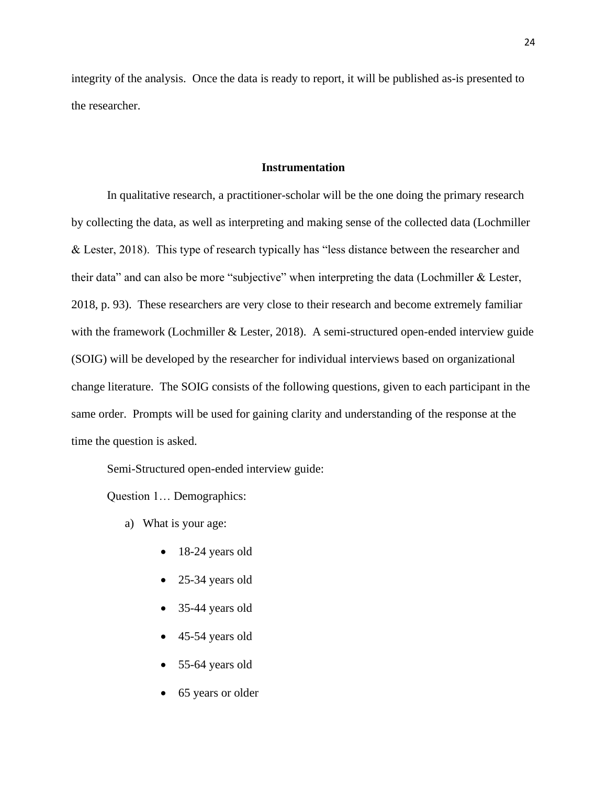integrity of the analysis. Once the data is ready to report, it will be published as-is presented to the researcher.

#### **Instrumentation**

<span id="page-29-0"></span>In qualitative research, a practitioner-scholar will be the one doing the primary research by collecting the data, as well as interpreting and making sense of the collected data (Lochmiller & Lester, 2018). This type of research typically has "less distance between the researcher and their data" and can also be more "subjective" when interpreting the data (Lochmiller & Lester, 2018, p. 93). These researchers are very close to their research and become extremely familiar with the framework (Lochmiller & Lester, 2018). A semi-structured open-ended interview guide (SOIG) will be developed by the researcher for individual interviews based on organizational change literature. The SOIG consists of the following questions, given to each participant in the same order. Prompts will be used for gaining clarity and understanding of the response at the time the question is asked.

Semi-Structured open-ended interview guide:

Question 1… Demographics:

- a) What is your age:
	- 18-24 years old
	- 25-34 years old
	- 35-44 years old
	- 45-54 years old
	- 55-64 years old
	- 65 years or older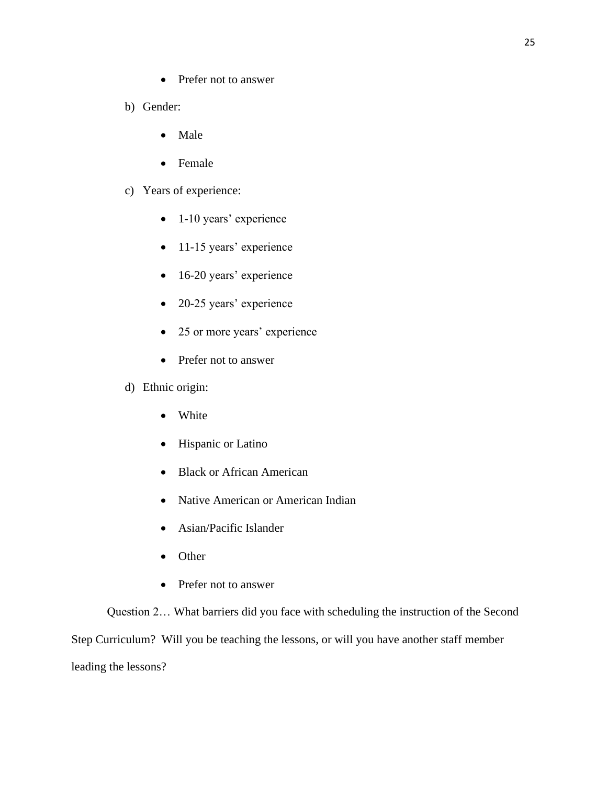- Prefer not to answer
- b) Gender:
	- Male
	- Female
- c) Years of experience:
	- 1-10 years' experience
	- 11-15 years' experience
	- 16-20 years' experience
	- 20-25 years' experience
	- 25 or more years' experience
	- Prefer not to answer
- d) Ethnic origin:
	- White
	- Hispanic or Latino
	- Black or African American
	- Native American or American Indian
	- Asian/Pacific Islander
	- Other
	- Prefer not to answer

Question 2… What barriers did you face with scheduling the instruction of the Second Step Curriculum? Will you be teaching the lessons, or will you have another staff member leading the lessons?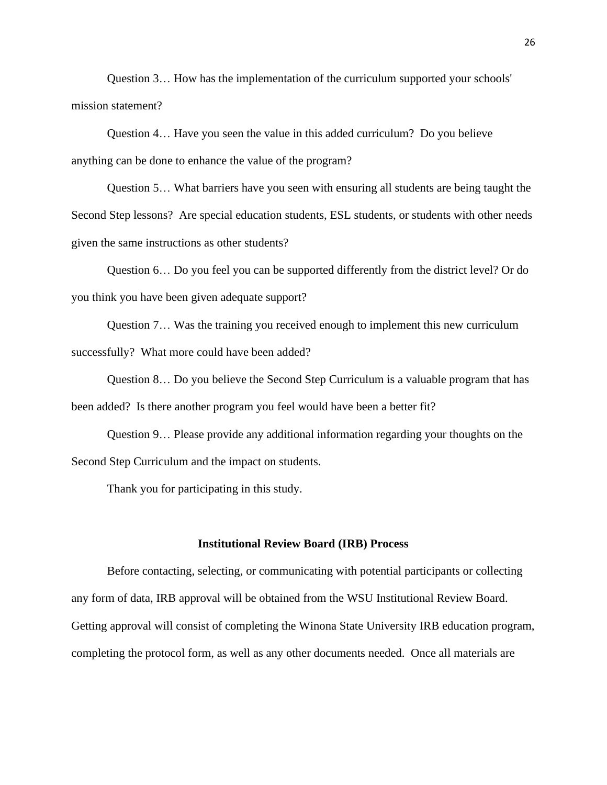Question 3… How has the implementation of the curriculum supported your schools' mission statement?

Question 4… Have you seen the value in this added curriculum? Do you believe anything can be done to enhance the value of the program?

Question 5… What barriers have you seen with ensuring all students are being taught the Second Step lessons? Are special education students, ESL students, or students with other needs given the same instructions as other students?

Question 6… Do you feel you can be supported differently from the district level? Or do you think you have been given adequate support?

Question 7… Was the training you received enough to implement this new curriculum successfully? What more could have been added?

Question 8… Do you believe the Second Step Curriculum is a valuable program that has been added? Is there another program you feel would have been a better fit?

Question 9… Please provide any additional information regarding your thoughts on the Second Step Curriculum and the impact on students.

Thank you for participating in this study.

#### **Institutional Review Board (IRB) Process**

<span id="page-31-0"></span>Before contacting, selecting, or communicating with potential participants or collecting any form of data, IRB approval will be obtained from the WSU Institutional Review Board. Getting approval will consist of completing the Winona State University IRB education program, completing the protocol form, as well as any other documents needed. Once all materials are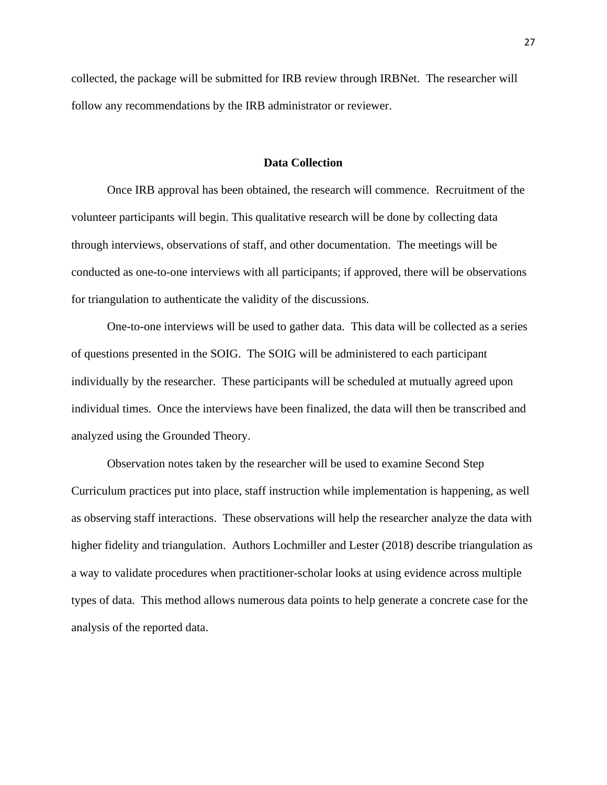collected, the package will be submitted for IRB review through IRBNet. The researcher will follow any recommendations by the IRB administrator or reviewer.

#### **Data Collection**

<span id="page-32-0"></span>Once IRB approval has been obtained, the research will commence. Recruitment of the volunteer participants will begin. This qualitative research will be done by collecting data through interviews, observations of staff, and other documentation. The meetings will be conducted as one-to-one interviews with all participants; if approved, there will be observations for triangulation to authenticate the validity of the discussions.

One-to-one interviews will be used to gather data. This data will be collected as a series of questions presented in the SOIG. The SOIG will be administered to each participant individually by the researcher. These participants will be scheduled at mutually agreed upon individual times. Once the interviews have been finalized, the data will then be transcribed and analyzed using the Grounded Theory.

Observation notes taken by the researcher will be used to examine Second Step Curriculum practices put into place, staff instruction while implementation is happening, as well as observing staff interactions. These observations will help the researcher analyze the data with higher fidelity and triangulation. Authors Lochmiller and Lester (2018) describe triangulation as a way to validate procedures when practitioner-scholar looks at using evidence across multiple types of data. This method allows numerous data points to help generate a concrete case for the analysis of the reported data.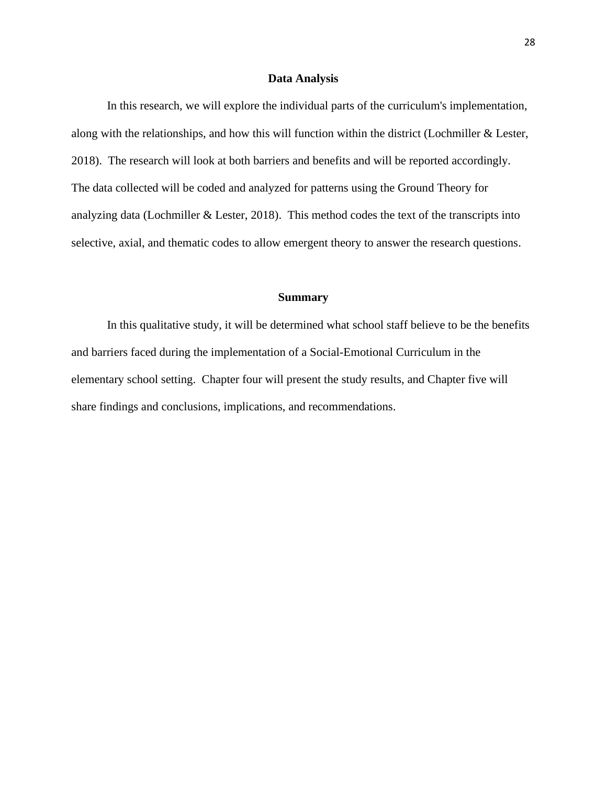#### **Data Analysis**

<span id="page-33-0"></span>In this research, we will explore the individual parts of the curriculum's implementation, along with the relationships, and how this will function within the district (Lochmiller & Lester, 2018). The research will look at both barriers and benefits and will be reported accordingly. The data collected will be coded and analyzed for patterns using the Ground Theory for analyzing data (Lochmiller & Lester, 2018). This method codes the text of the transcripts into selective, axial, and thematic codes to allow emergent theory to answer the research questions.

#### **Summary**

<span id="page-33-1"></span>In this qualitative study, it will be determined what school staff believe to be the benefits and barriers faced during the implementation of a Social-Emotional Curriculum in the elementary school setting. Chapter four will present the study results, and Chapter five will share findings and conclusions, implications, and recommendations.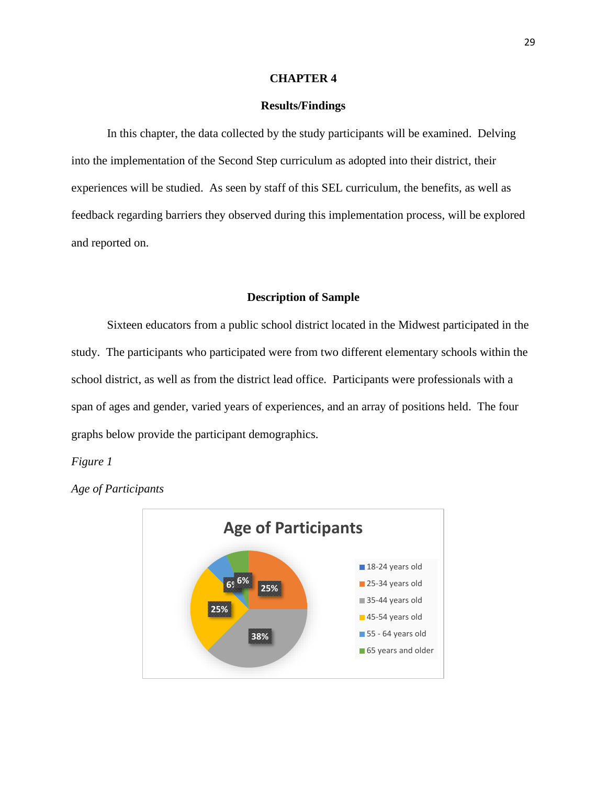#### **CHAPTER 4**

#### **Results/Findings**

<span id="page-34-1"></span><span id="page-34-0"></span>In this chapter, the data collected by the study participants will be examined. Delving into the implementation of the Second Step curriculum as adopted into their district, their experiences will be studied. As seen by staff of this SEL curriculum, the benefits, as well as feedback regarding barriers they observed during this implementation process, will be explored and reported on.

#### **Description of Sample**

<span id="page-34-2"></span>Sixteen educators from a public school district located in the Midwest participated in the study. The participants who participated were from two different elementary schools within the school district, as well as from the district lead office. Participants were professionals with a span of ages and gender, varied years of experiences, and an array of positions held. The four graphs below provide the participant demographics.

#### *Figure 1*



*Age of Participants*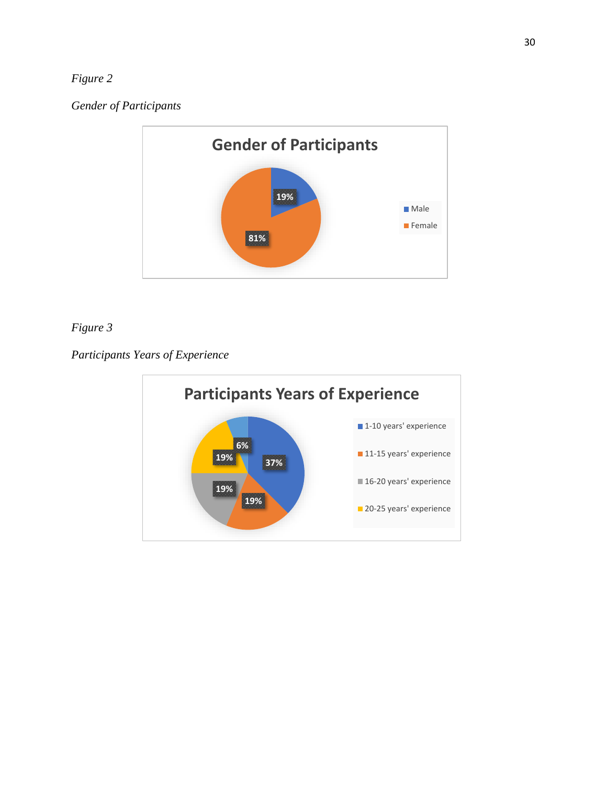# *Figure 2*

*Gender of Participants*



# *Figure 3*

*Participants Years of Experience*

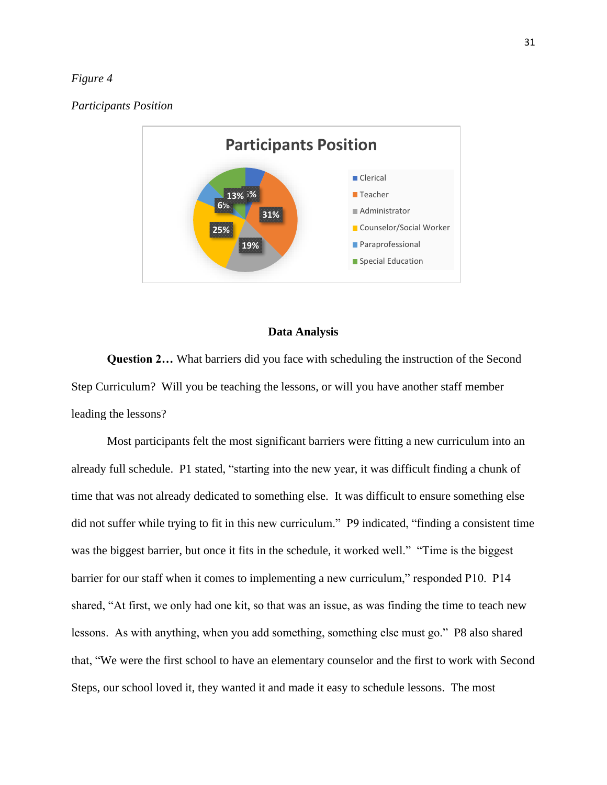#### *Figure 4*

#### *Participants Position*



#### **Data Analysis**

<span id="page-36-0"></span>**Question 2…** What barriers did you face with scheduling the instruction of the Second Step Curriculum? Will you be teaching the lessons, or will you have another staff member leading the lessons?

Most participants felt the most significant barriers were fitting a new curriculum into an already full schedule. P1 stated, "starting into the new year, it was difficult finding a chunk of time that was not already dedicated to something else. It was difficult to ensure something else did not suffer while trying to fit in this new curriculum." P9 indicated, "finding a consistent time was the biggest barrier, but once it fits in the schedule, it worked well." "Time is the biggest barrier for our staff when it comes to implementing a new curriculum," responded P10. P14 shared, "At first, we only had one kit, so that was an issue, as was finding the time to teach new lessons. As with anything, when you add something, something else must go." P8 also shared that, "We were the first school to have an elementary counselor and the first to work with Second Steps, our school loved it, they wanted it and made it easy to schedule lessons. The most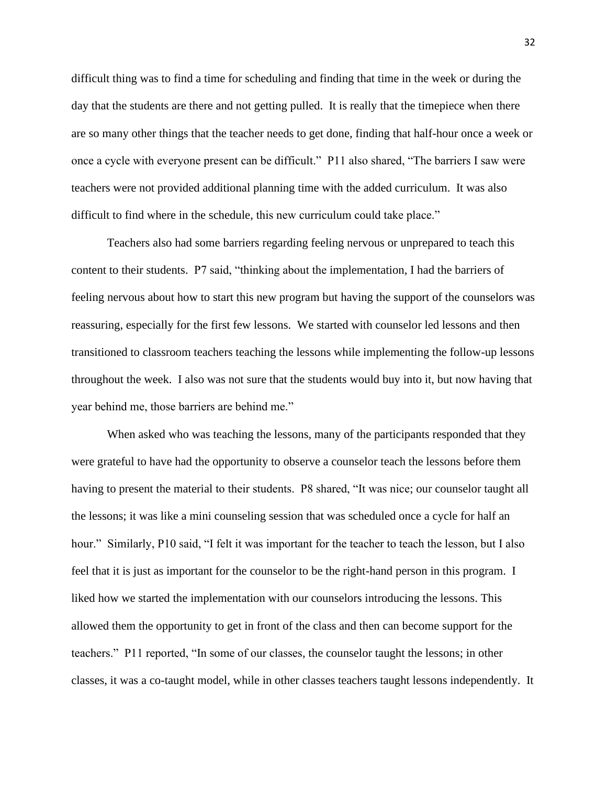difficult thing was to find a time for scheduling and finding that time in the week or during the day that the students are there and not getting pulled. It is really that the timepiece when there are so many other things that the teacher needs to get done, finding that half-hour once a week or once a cycle with everyone present can be difficult." P11 also shared, "The barriers I saw were teachers were not provided additional planning time with the added curriculum. It was also difficult to find where in the schedule, this new curriculum could take place."

Teachers also had some barriers regarding feeling nervous or unprepared to teach this content to their students. P7 said, "thinking about the implementation, I had the barriers of feeling nervous about how to start this new program but having the support of the counselors was reassuring, especially for the first few lessons. We started with counselor led lessons and then transitioned to classroom teachers teaching the lessons while implementing the follow-up lessons throughout the week. I also was not sure that the students would buy into it, but now having that year behind me, those barriers are behind me."

When asked who was teaching the lessons, many of the participants responded that they were grateful to have had the opportunity to observe a counselor teach the lessons before them having to present the material to their students. P8 shared, "It was nice; our counselor taught all the lessons; it was like a mini counseling session that was scheduled once a cycle for half an hour." Similarly, P10 said, "I felt it was important for the teacher to teach the lesson, but I also feel that it is just as important for the counselor to be the right-hand person in this program. I liked how we started the implementation with our counselors introducing the lessons. This allowed them the opportunity to get in front of the class and then can become support for the teachers." P11 reported, "In some of our classes, the counselor taught the lessons; in other classes, it was a co-taught model, while in other classes teachers taught lessons independently. It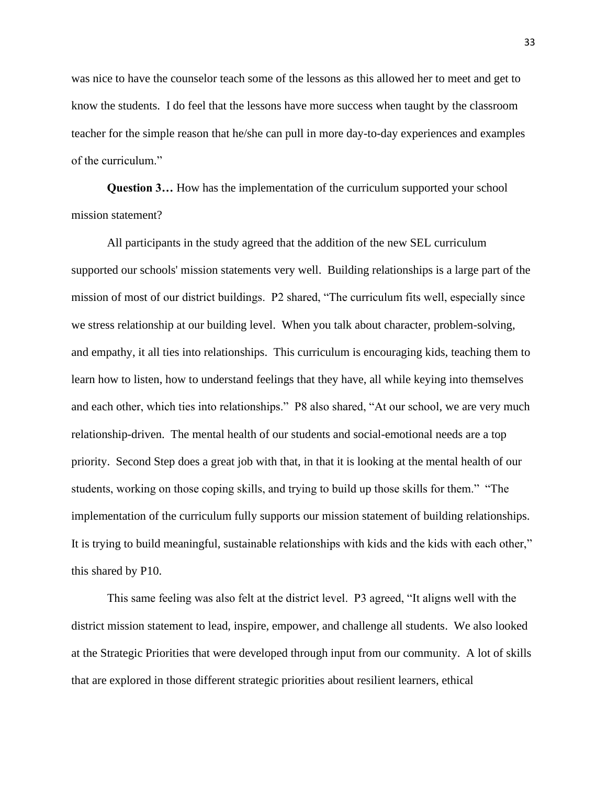was nice to have the counselor teach some of the lessons as this allowed her to meet and get to know the students. I do feel that the lessons have more success when taught by the classroom teacher for the simple reason that he/she can pull in more day-to-day experiences and examples of the curriculum."

**Question 3...** How has the implementation of the curriculum supported your school mission statement?

All participants in the study agreed that the addition of the new SEL curriculum supported our schools' mission statements very well. Building relationships is a large part of the mission of most of our district buildings. P2 shared, "The curriculum fits well, especially since we stress relationship at our building level. When you talk about character, problem-solving, and empathy, it all ties into relationships. This curriculum is encouraging kids, teaching them to learn how to listen, how to understand feelings that they have, all while keying into themselves and each other, which ties into relationships." P8 also shared, "At our school, we are very much relationship-driven. The mental health of our students and social-emotional needs are a top priority. Second Step does a great job with that, in that it is looking at the mental health of our students, working on those coping skills, and trying to build up those skills for them." "The implementation of the curriculum fully supports our mission statement of building relationships. It is trying to build meaningful, sustainable relationships with kids and the kids with each other," this shared by P10.

This same feeling was also felt at the district level. P3 agreed, "It aligns well with the district mission statement to lead, inspire, empower, and challenge all students. We also looked at the Strategic Priorities that were developed through input from our community. A lot of skills that are explored in those different strategic priorities about resilient learners, ethical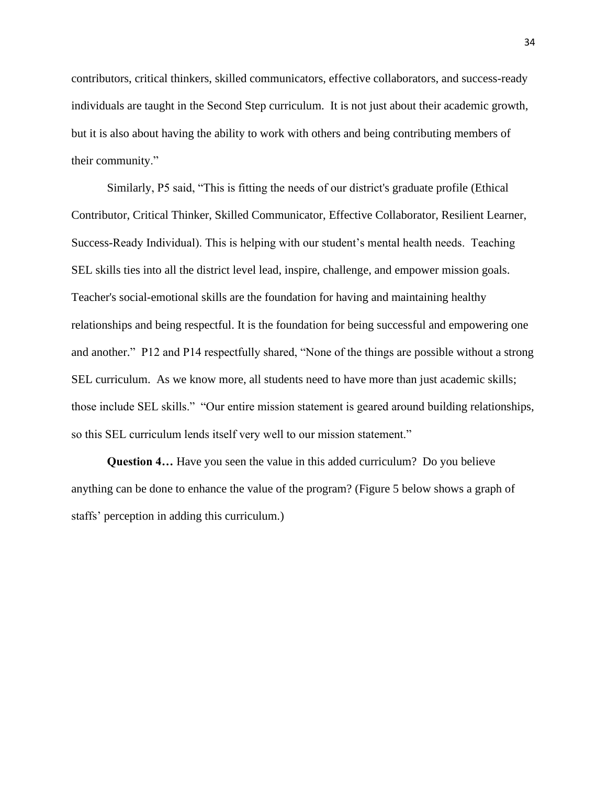contributors, critical thinkers, skilled communicators, effective collaborators, and success-ready individuals are taught in the Second Step curriculum. It is not just about their academic growth, but it is also about having the ability to work with others and being contributing members of their community."

Similarly, P5 said, "This is fitting the needs of our district's graduate profile (Ethical Contributor, Critical Thinker, Skilled Communicator, Effective Collaborator, Resilient Learner, Success-Ready Individual). This is helping with our student's mental health needs. Teaching SEL skills ties into all the district level lead, inspire, challenge, and empower mission goals. Teacher's social-emotional skills are the foundation for having and maintaining healthy relationships and being respectful. It is the foundation for being successful and empowering one and another." P12 and P14 respectfully shared, "None of the things are possible without a strong SEL curriculum. As we know more, all students need to have more than just academic skills; those include SEL skills." "Our entire mission statement is geared around building relationships, so this SEL curriculum lends itself very well to our mission statement."

**Question 4…** Have you seen the value in this added curriculum? Do you believe anything can be done to enhance the value of the program? (Figure 5 below shows a graph of staffs' perception in adding this curriculum.)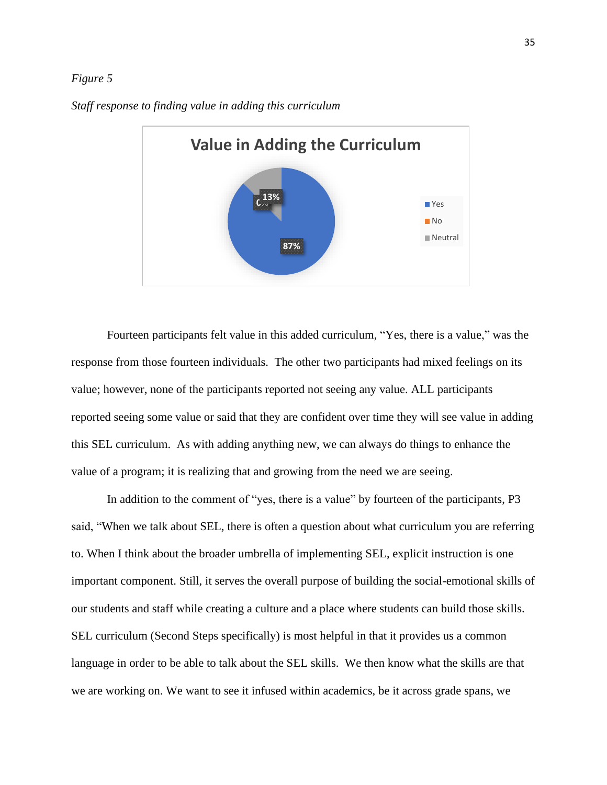#### *Figure 5*



*Staff response to finding value in adding this curriculum*

Fourteen participants felt value in this added curriculum, "Yes, there is a value," was the response from those fourteen individuals. The other two participants had mixed feelings on its value; however, none of the participants reported not seeing any value. ALL participants reported seeing some value or said that they are confident over time they will see value in adding this SEL curriculum. As with adding anything new, we can always do things to enhance the value of a program; it is realizing that and growing from the need we are seeing.

In addition to the comment of "yes, there is a value" by fourteen of the participants, P3 said, "When we talk about SEL, there is often a question about what curriculum you are referring to. When I think about the broader umbrella of implementing SEL, explicit instruction is one important component. Still, it serves the overall purpose of building the social-emotional skills of our students and staff while creating a culture and a place where students can build those skills. SEL curriculum (Second Steps specifically) is most helpful in that it provides us a common language in order to be able to talk about the SEL skills. We then know what the skills are that we are working on. We want to see it infused within academics, be it across grade spans, we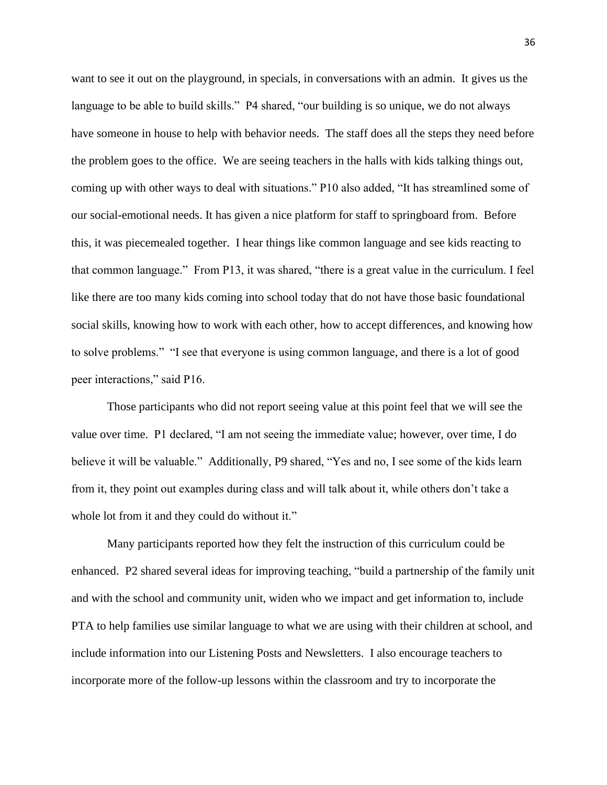want to see it out on the playground, in specials, in conversations with an admin. It gives us the language to be able to build skills." P4 shared, "our building is so unique, we do not always have someone in house to help with behavior needs. The staff does all the steps they need before the problem goes to the office. We are seeing teachers in the halls with kids talking things out, coming up with other ways to deal with situations." P10 also added, "It has streamlined some of our social-emotional needs. It has given a nice platform for staff to springboard from. Before this, it was piecemealed together. I hear things like common language and see kids reacting to that common language." From P13, it was shared, "there is a great value in the curriculum. I feel like there are too many kids coming into school today that do not have those basic foundational social skills, knowing how to work with each other, how to accept differences, and knowing how to solve problems." "I see that everyone is using common language, and there is a lot of good peer interactions," said P16.

Those participants who did not report seeing value at this point feel that we will see the value over time. P1 declared, "I am not seeing the immediate value; however, over time, I do believe it will be valuable." Additionally, P9 shared, "Yes and no, I see some of the kids learn from it, they point out examples during class and will talk about it, while others don't take a whole lot from it and they could do without it."

Many participants reported how they felt the instruction of this curriculum could be enhanced. P2 shared several ideas for improving teaching, "build a partnership of the family unit and with the school and community unit, widen who we impact and get information to, include PTA to help families use similar language to what we are using with their children at school, and include information into our Listening Posts and Newsletters. I also encourage teachers to incorporate more of the follow-up lessons within the classroom and try to incorporate the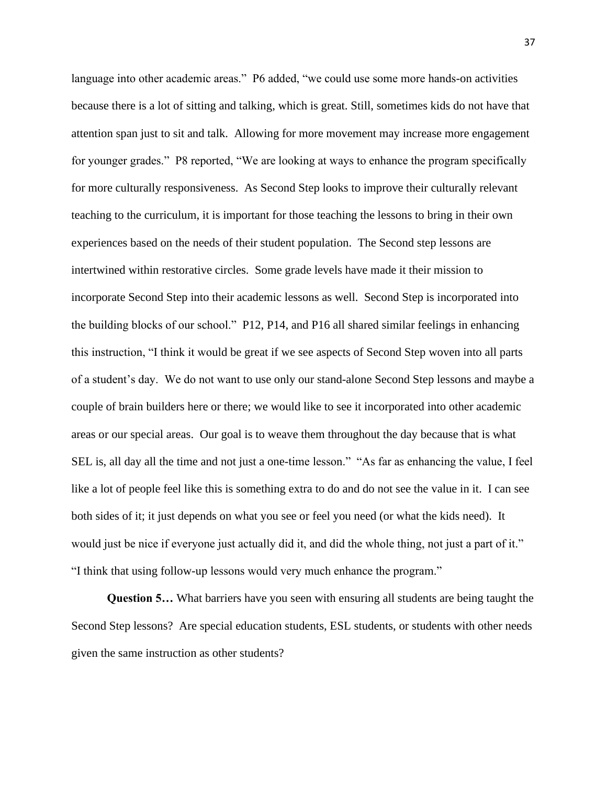language into other academic areas." P6 added, "we could use some more hands-on activities because there is a lot of sitting and talking, which is great. Still, sometimes kids do not have that attention span just to sit and talk. Allowing for more movement may increase more engagement for younger grades." P8 reported, "We are looking at ways to enhance the program specifically for more culturally responsiveness. As Second Step looks to improve their culturally relevant teaching to the curriculum, it is important for those teaching the lessons to bring in their own experiences based on the needs of their student population. The Second step lessons are intertwined within restorative circles. Some grade levels have made it their mission to incorporate Second Step into their academic lessons as well. Second Step is incorporated into the building blocks of our school." P12, P14, and P16 all shared similar feelings in enhancing this instruction, "I think it would be great if we see aspects of Second Step woven into all parts of a student's day. We do not want to use only our stand-alone Second Step lessons and maybe a couple of brain builders here or there; we would like to see it incorporated into other academic areas or our special areas. Our goal is to weave them throughout the day because that is what SEL is, all day all the time and not just a one-time lesson." "As far as enhancing the value, I feel like a lot of people feel like this is something extra to do and do not see the value in it. I can see both sides of it; it just depends on what you see or feel you need (or what the kids need). It would just be nice if everyone just actually did it, and did the whole thing, not just a part of it." "I think that using follow-up lessons would very much enhance the program."

**Question 5…** What barriers have you seen with ensuring all students are being taught the Second Step lessons? Are special education students, ESL students, or students with other needs given the same instruction as other students?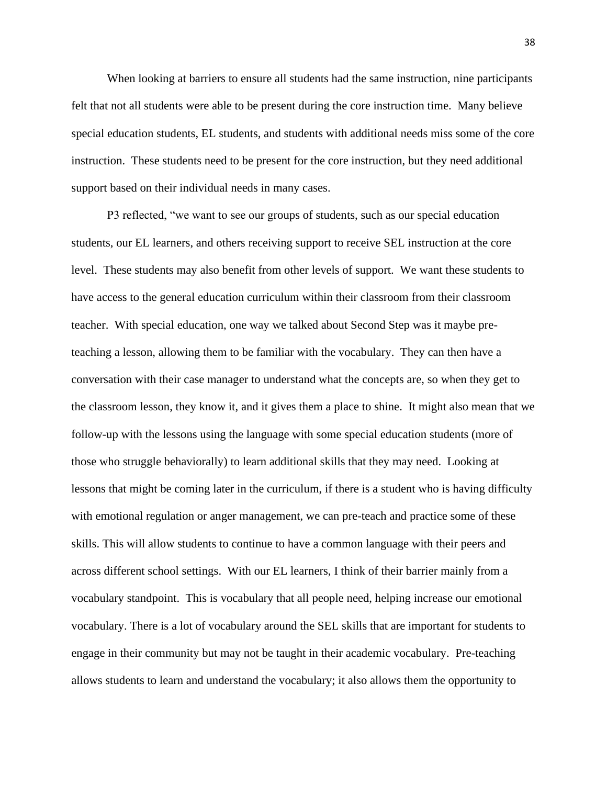When looking at barriers to ensure all students had the same instruction, nine participants felt that not all students were able to be present during the core instruction time. Many believe special education students, EL students, and students with additional needs miss some of the core instruction. These students need to be present for the core instruction, but they need additional support based on their individual needs in many cases.

P3 reflected, "we want to see our groups of students, such as our special education students, our EL learners, and others receiving support to receive SEL instruction at the core level. These students may also benefit from other levels of support. We want these students to have access to the general education curriculum within their classroom from their classroom teacher. With special education, one way we talked about Second Step was it maybe preteaching a lesson, allowing them to be familiar with the vocabulary. They can then have a conversation with their case manager to understand what the concepts are, so when they get to the classroom lesson, they know it, and it gives them a place to shine. It might also mean that we follow-up with the lessons using the language with some special education students (more of those who struggle behaviorally) to learn additional skills that they may need. Looking at lessons that might be coming later in the curriculum, if there is a student who is having difficulty with emotional regulation or anger management, we can pre-teach and practice some of these skills. This will allow students to continue to have a common language with their peers and across different school settings. With our EL learners, I think of their barrier mainly from a vocabulary standpoint. This is vocabulary that all people need, helping increase our emotional vocabulary. There is a lot of vocabulary around the SEL skills that are important for students to engage in their community but may not be taught in their academic vocabulary. Pre-teaching allows students to learn and understand the vocabulary; it also allows them the opportunity to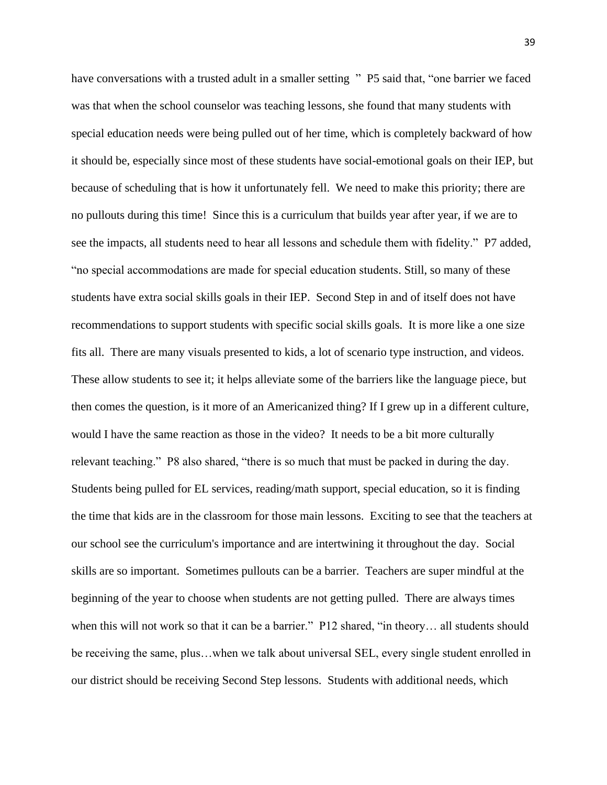have conversations with a trusted adult in a smaller setting " P5 said that, "one barrier we faced was that when the school counselor was teaching lessons, she found that many students with special education needs were being pulled out of her time, which is completely backward of how it should be, especially since most of these students have social-emotional goals on their IEP, but because of scheduling that is how it unfortunately fell. We need to make this priority; there are no pullouts during this time! Since this is a curriculum that builds year after year, if we are to see the impacts, all students need to hear all lessons and schedule them with fidelity." P7 added, "no special accommodations are made for special education students. Still, so many of these students have extra social skills goals in their IEP. Second Step in and of itself does not have recommendations to support students with specific social skills goals. It is more like a one size fits all. There are many visuals presented to kids, a lot of scenario type instruction, and videos. These allow students to see it; it helps alleviate some of the barriers like the language piece, but then comes the question, is it more of an Americanized thing? If I grew up in a different culture, would I have the same reaction as those in the video? It needs to be a bit more culturally relevant teaching." P8 also shared, "there is so much that must be packed in during the day. Students being pulled for EL services, reading/math support, special education, so it is finding the time that kids are in the classroom for those main lessons. Exciting to see that the teachers at our school see the curriculum's importance and are intertwining it throughout the day. Social skills are so important. Sometimes pullouts can be a barrier. Teachers are super mindful at the beginning of the year to choose when students are not getting pulled. There are always times when this will not work so that it can be a barrier." P12 shared, "in theory... all students should be receiving the same, plus…when we talk about universal SEL, every single student enrolled in our district should be receiving Second Step lessons. Students with additional needs, which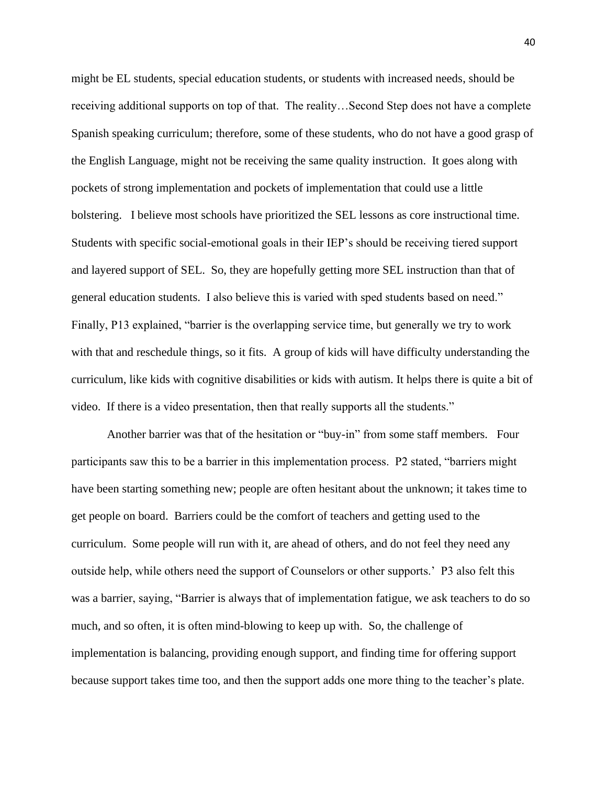might be EL students, special education students, or students with increased needs, should be receiving additional supports on top of that. The reality…Second Step does not have a complete Spanish speaking curriculum; therefore, some of these students, who do not have a good grasp of the English Language, might not be receiving the same quality instruction. It goes along with pockets of strong implementation and pockets of implementation that could use a little bolstering. I believe most schools have prioritized the SEL lessons as core instructional time. Students with specific social-emotional goals in their IEP's should be receiving tiered support and layered support of SEL. So, they are hopefully getting more SEL instruction than that of general education students. I also believe this is varied with sped students based on need." Finally, P13 explained, "barrier is the overlapping service time, but generally we try to work with that and reschedule things, so it fits. A group of kids will have difficulty understanding the curriculum, like kids with cognitive disabilities or kids with autism. It helps there is quite a bit of video. If there is a video presentation, then that really supports all the students."

Another barrier was that of the hesitation or "buy-in" from some staff members. Four participants saw this to be a barrier in this implementation process. P2 stated, "barriers might have been starting something new; people are often hesitant about the unknown; it takes time to get people on board. Barriers could be the comfort of teachers and getting used to the curriculum. Some people will run with it, are ahead of others, and do not feel they need any outside help, while others need the support of Counselors or other supports.' P3 also felt this was a barrier, saying, "Barrier is always that of implementation fatigue, we ask teachers to do so much, and so often, it is often mind-blowing to keep up with. So, the challenge of implementation is balancing, providing enough support, and finding time for offering support because support takes time too, and then the support adds one more thing to the teacher's plate.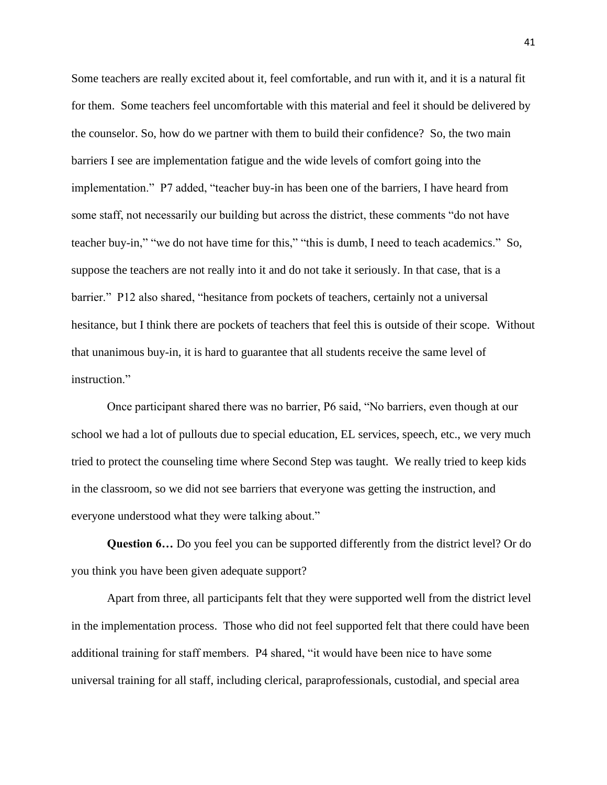Some teachers are really excited about it, feel comfortable, and run with it, and it is a natural fit for them. Some teachers feel uncomfortable with this material and feel it should be delivered by the counselor. So, how do we partner with them to build their confidence? So, the two main barriers I see are implementation fatigue and the wide levels of comfort going into the implementation." P7 added, "teacher buy-in has been one of the barriers, I have heard from some staff, not necessarily our building but across the district, these comments "do not have teacher buy-in," "we do not have time for this," "this is dumb, I need to teach academics." So, suppose the teachers are not really into it and do not take it seriously. In that case, that is a barrier." P12 also shared, "hesitance from pockets of teachers, certainly not a universal hesitance, but I think there are pockets of teachers that feel this is outside of their scope. Without that unanimous buy-in, it is hard to guarantee that all students receive the same level of instruction."

Once participant shared there was no barrier, P6 said, "No barriers, even though at our school we had a lot of pullouts due to special education, EL services, speech, etc., we very much tried to protect the counseling time where Second Step was taught. We really tried to keep kids in the classroom, so we did not see barriers that everyone was getting the instruction, and everyone understood what they were talking about."

**Question 6…** Do you feel you can be supported differently from the district level? Or do you think you have been given adequate support?

Apart from three, all participants felt that they were supported well from the district level in the implementation process. Those who did not feel supported felt that there could have been additional training for staff members. P4 shared, "it would have been nice to have some universal training for all staff, including clerical, paraprofessionals, custodial, and special area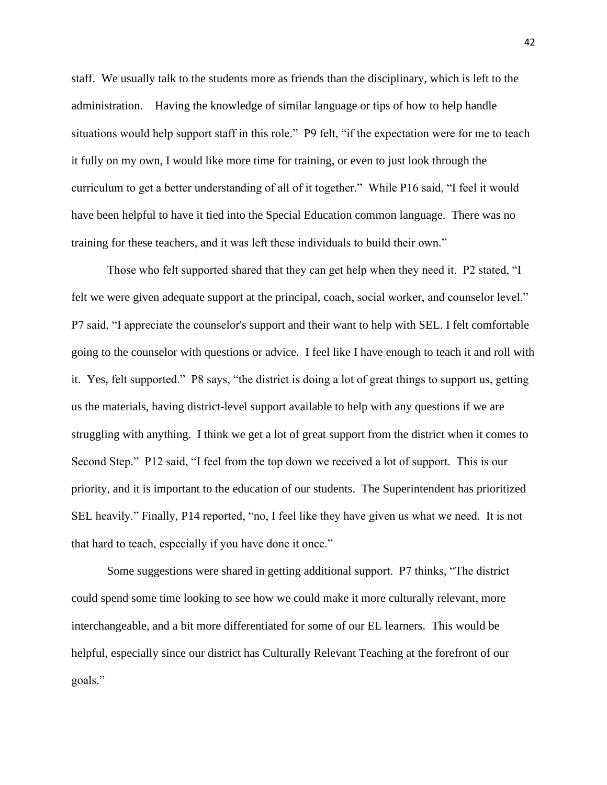staff. We usually talk to the students more as friends than the disciplinary, which is left to the administration. Having the knowledge of similar language or tips of how to help handle situations would help support staff in this role." P9 felt, "if the expectation were for me to teach it fully on my own, I would like more time for training, or even to just look through the curriculum to get a better understanding of all of it together." While P16 said, "I feel it would have been helpful to have it tied into the Special Education common language. There was no training for these teachers, and it was left these individuals to build their own."

Those who felt supported shared that they can get help when they need it. P2 stated, "I felt we were given adequate support at the principal, coach, social worker, and counselor level." P7 said, "I appreciate the counselor's support and their want to help with SEL. I felt comfortable going to the counselor with questions or advice. I feel like I have enough to teach it and roll with it. Yes, felt supported." P8 says, "the district is doing a lot of great things to support us, getting us the materials, having district-level support available to help with any questions if we are struggling with anything. I think we get a lot of great support from the district when it comes to Second Step." P12 said, "I feel from the top down we received a lot of support. This is our priority, and it is important to the education of our students. The Superintendent has prioritized SEL heavily." Finally, P14 reported, "no, I feel like they have given us what we need. It is not that hard to teach, especially if you have done it once."

Some suggestions were shared in getting additional support. P7 thinks, "The district could spend some time looking to see how we could make it more culturally relevant, more interchangeable, and a bit more differentiated for some of our EL learners. This would be helpful, especially since our district has Culturally Relevant Teaching at the forefront of our goals."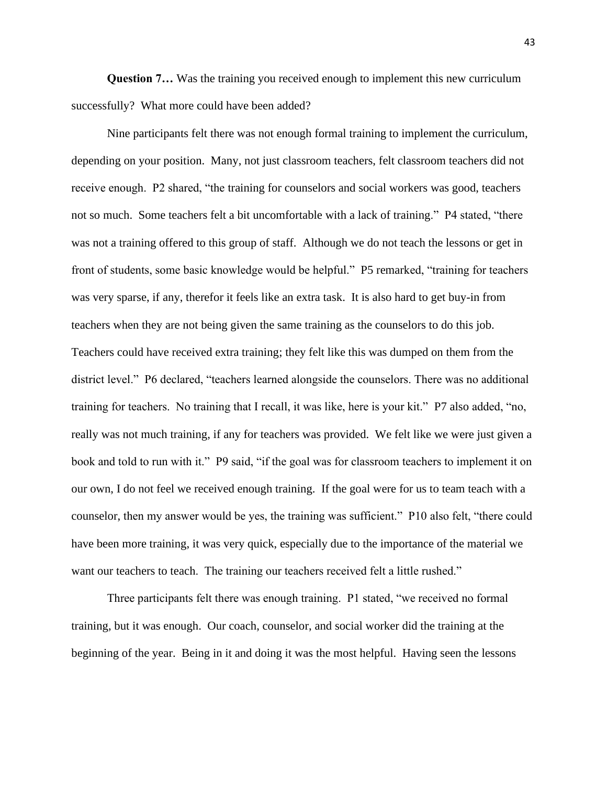**Question 7…** Was the training you received enough to implement this new curriculum successfully? What more could have been added?

Nine participants felt there was not enough formal training to implement the curriculum, depending on your position. Many, not just classroom teachers, felt classroom teachers did not receive enough. P2 shared, "the training for counselors and social workers was good, teachers not so much. Some teachers felt a bit uncomfortable with a lack of training." P4 stated, "there was not a training offered to this group of staff. Although we do not teach the lessons or get in front of students, some basic knowledge would be helpful." P5 remarked, "training for teachers was very sparse, if any, therefor it feels like an extra task. It is also hard to get buy-in from teachers when they are not being given the same training as the counselors to do this job. Teachers could have received extra training; they felt like this was dumped on them from the district level." P6 declared, "teachers learned alongside the counselors. There was no additional training for teachers. No training that I recall, it was like, here is your kit." P7 also added, "no, really was not much training, if any for teachers was provided. We felt like we were just given a book and told to run with it." P9 said, "if the goal was for classroom teachers to implement it on our own, I do not feel we received enough training. If the goal were for us to team teach with a counselor, then my answer would be yes, the training was sufficient." P10 also felt, "there could have been more training, it was very quick, especially due to the importance of the material we want our teachers to teach. The training our teachers received felt a little rushed."

Three participants felt there was enough training. P1 stated, "we received no formal training, but it was enough. Our coach, counselor, and social worker did the training at the beginning of the year. Being in it and doing it was the most helpful. Having seen the lessons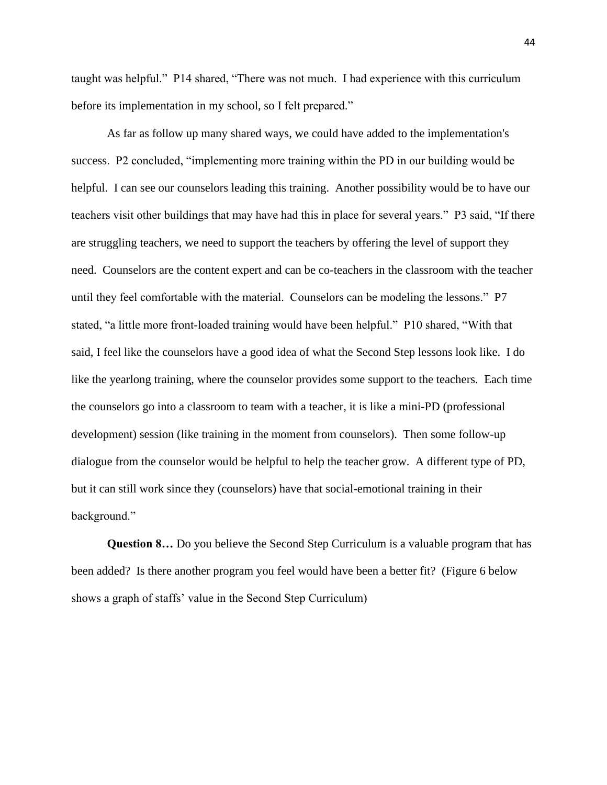taught was helpful." P14 shared, "There was not much. I had experience with this curriculum before its implementation in my school, so I felt prepared."

As far as follow up many shared ways, we could have added to the implementation's success. P2 concluded, "implementing more training within the PD in our building would be helpful. I can see our counselors leading this training. Another possibility would be to have our teachers visit other buildings that may have had this in place for several years." P3 said, "If there are struggling teachers, we need to support the teachers by offering the level of support they need. Counselors are the content expert and can be co-teachers in the classroom with the teacher until they feel comfortable with the material. Counselors can be modeling the lessons." P7 stated, "a little more front-loaded training would have been helpful." P10 shared, "With that said, I feel like the counselors have a good idea of what the Second Step lessons look like. I do like the yearlong training, where the counselor provides some support to the teachers. Each time the counselors go into a classroom to team with a teacher, it is like a mini-PD (professional development) session (like training in the moment from counselors). Then some follow-up dialogue from the counselor would be helpful to help the teacher grow. A different type of PD, but it can still work since they (counselors) have that social-emotional training in their background."

**Question 8…** Do you believe the Second Step Curriculum is a valuable program that has been added? Is there another program you feel would have been a better fit? (Figure 6 below shows a graph of staffs' value in the Second Step Curriculum)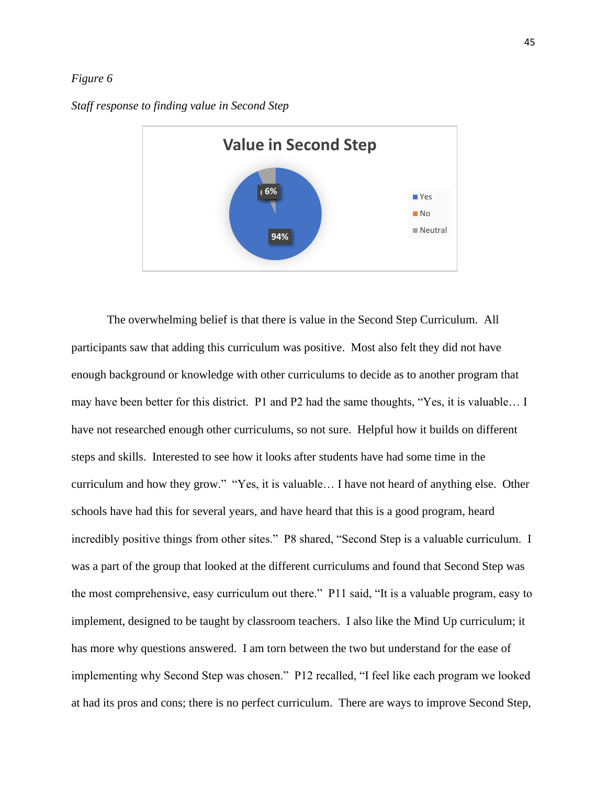#### *Figure 6*

*Staff response to finding value in Second Step*



The overwhelming belief is that there is value in the Second Step Curriculum. All participants saw that adding this curriculum was positive. Most also felt they did not have enough background or knowledge with other curriculums to decide as to another program that may have been better for this district. P1 and P2 had the same thoughts, "Yes, it is valuable… I have not researched enough other curriculums, so not sure. Helpful how it builds on different steps and skills. Interested to see how it looks after students have had some time in the curriculum and how they grow." "Yes, it is valuable… I have not heard of anything else. Other schools have had this for several years, and have heard that this is a good program, heard incredibly positive things from other sites." P8 shared, "Second Step is a valuable curriculum. I was a part of the group that looked at the different curriculums and found that Second Step was the most comprehensive, easy curriculum out there." P11 said, "It is a valuable program, easy to implement, designed to be taught by classroom teachers. I also like the Mind Up curriculum; it has more why questions answered. I am torn between the two but understand for the ease of implementing why Second Step was chosen." P12 recalled, "I feel like each program we looked at had its pros and cons; there is no perfect curriculum. There are ways to improve Second Step,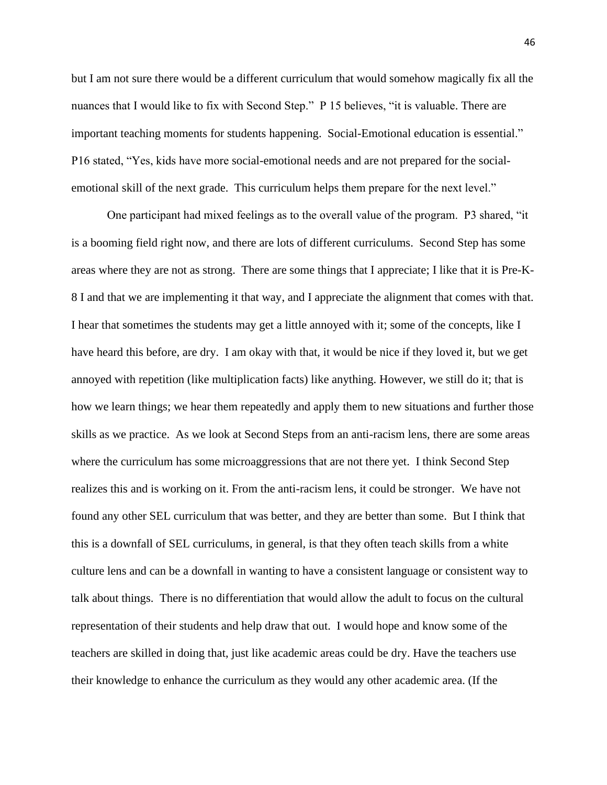but I am not sure there would be a different curriculum that would somehow magically fix all the nuances that I would like to fix with Second Step." P 15 believes, "it is valuable. There are important teaching moments for students happening. Social-Emotional education is essential." P16 stated, "Yes, kids have more social-emotional needs and are not prepared for the socialemotional skill of the next grade. This curriculum helps them prepare for the next level."

One participant had mixed feelings as to the overall value of the program. P3 shared, "it is a booming field right now, and there are lots of different curriculums. Second Step has some areas where they are not as strong. There are some things that I appreciate; I like that it is Pre-K-8 I and that we are implementing it that way, and I appreciate the alignment that comes with that. I hear that sometimes the students may get a little annoyed with it; some of the concepts, like I have heard this before, are dry. I am okay with that, it would be nice if they loved it, but we get annoyed with repetition (like multiplication facts) like anything. However, we still do it; that is how we learn things; we hear them repeatedly and apply them to new situations and further those skills as we practice. As we look at Second Steps from an anti-racism lens, there are some areas where the curriculum has some microaggressions that are not there yet. I think Second Step realizes this and is working on it. From the anti-racism lens, it could be stronger. We have not found any other SEL curriculum that was better, and they are better than some. But I think that this is a downfall of SEL curriculums, in general, is that they often teach skills from a white culture lens and can be a downfall in wanting to have a consistent language or consistent way to talk about things. There is no differentiation that would allow the adult to focus on the cultural representation of their students and help draw that out. I would hope and know some of the teachers are skilled in doing that, just like academic areas could be dry. Have the teachers use their knowledge to enhance the curriculum as they would any other academic area. (If the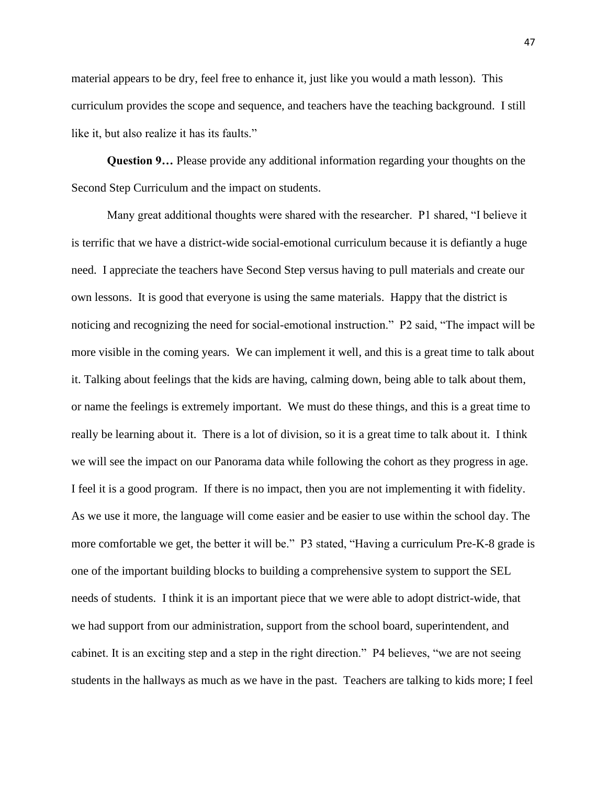material appears to be dry, feel free to enhance it, just like you would a math lesson). This curriculum provides the scope and sequence, and teachers have the teaching background. I still like it, but also realize it has its faults."

**Question 9…** Please provide any additional information regarding your thoughts on the Second Step Curriculum and the impact on students.

Many great additional thoughts were shared with the researcher. P1 shared, "I believe it is terrific that we have a district-wide social-emotional curriculum because it is defiantly a huge need. I appreciate the teachers have Second Step versus having to pull materials and create our own lessons. It is good that everyone is using the same materials. Happy that the district is noticing and recognizing the need for social-emotional instruction." P2 said, "The impact will be more visible in the coming years. We can implement it well, and this is a great time to talk about it. Talking about feelings that the kids are having, calming down, being able to talk about them, or name the feelings is extremely important. We must do these things, and this is a great time to really be learning about it. There is a lot of division, so it is a great time to talk about it. I think we will see the impact on our Panorama data while following the cohort as they progress in age. I feel it is a good program. If there is no impact, then you are not implementing it with fidelity. As we use it more, the language will come easier and be easier to use within the school day. The more comfortable we get, the better it will be." P3 stated, "Having a curriculum Pre-K-8 grade is one of the important building blocks to building a comprehensive system to support the SEL needs of students. I think it is an important piece that we were able to adopt district-wide, that we had support from our administration, support from the school board, superintendent, and cabinet. It is an exciting step and a step in the right direction." P4 believes, "we are not seeing students in the hallways as much as we have in the past. Teachers are talking to kids more; I feel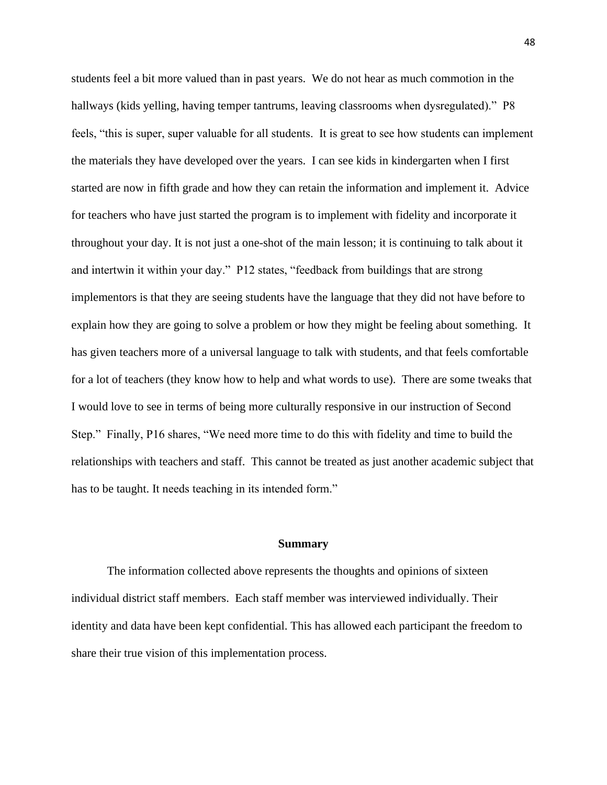students feel a bit more valued than in past years. We do not hear as much commotion in the hallways (kids yelling, having temper tantrums, leaving classrooms when dysregulated)." P8 feels, "this is super, super valuable for all students. It is great to see how students can implement the materials they have developed over the years. I can see kids in kindergarten when I first started are now in fifth grade and how they can retain the information and implement it. Advice for teachers who have just started the program is to implement with fidelity and incorporate it throughout your day. It is not just a one-shot of the main lesson; it is continuing to talk about it and intertwin it within your day." P12 states, "feedback from buildings that are strong implementors is that they are seeing students have the language that they did not have before to explain how they are going to solve a problem or how they might be feeling about something. It has given teachers more of a universal language to talk with students, and that feels comfortable for a lot of teachers (they know how to help and what words to use). There are some tweaks that I would love to see in terms of being more culturally responsive in our instruction of Second Step." Finally, P16 shares, "We need more time to do this with fidelity and time to build the relationships with teachers and staff. This cannot be treated as just another academic subject that has to be taught. It needs teaching in its intended form."

#### **Summary**

<span id="page-53-0"></span>The information collected above represents the thoughts and opinions of sixteen individual district staff members. Each staff member was interviewed individually. Their identity and data have been kept confidential. This has allowed each participant the freedom to share their true vision of this implementation process.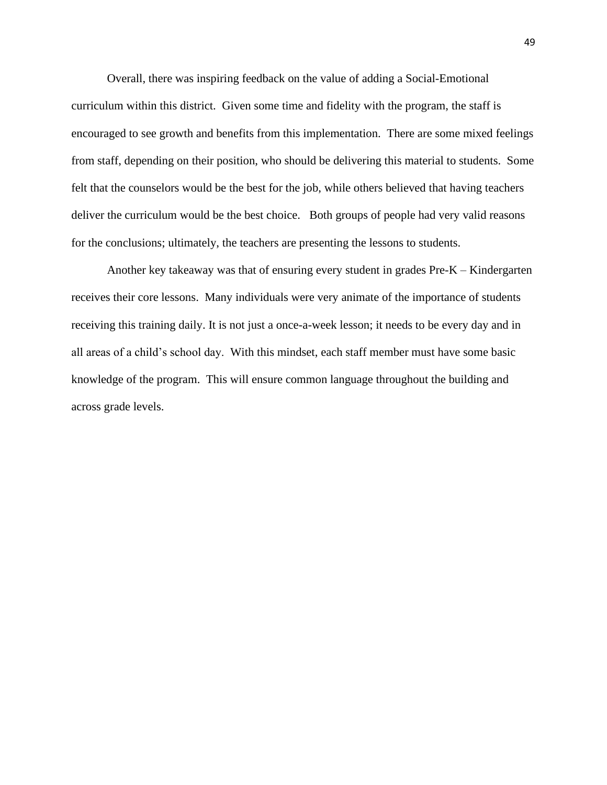Overall, there was inspiring feedback on the value of adding a Social-Emotional curriculum within this district. Given some time and fidelity with the program, the staff is encouraged to see growth and benefits from this implementation. There are some mixed feelings from staff, depending on their position, who should be delivering this material to students. Some felt that the counselors would be the best for the job, while others believed that having teachers deliver the curriculum would be the best choice. Both groups of people had very valid reasons for the conclusions; ultimately, the teachers are presenting the lessons to students.

Another key takeaway was that of ensuring every student in grades Pre-K – Kindergarten receives their core lessons. Many individuals were very animate of the importance of students receiving this training daily. It is not just a once-a-week lesson; it needs to be every day and in all areas of a child's school day. With this mindset, each staff member must have some basic knowledge of the program. This will ensure common language throughout the building and across grade levels.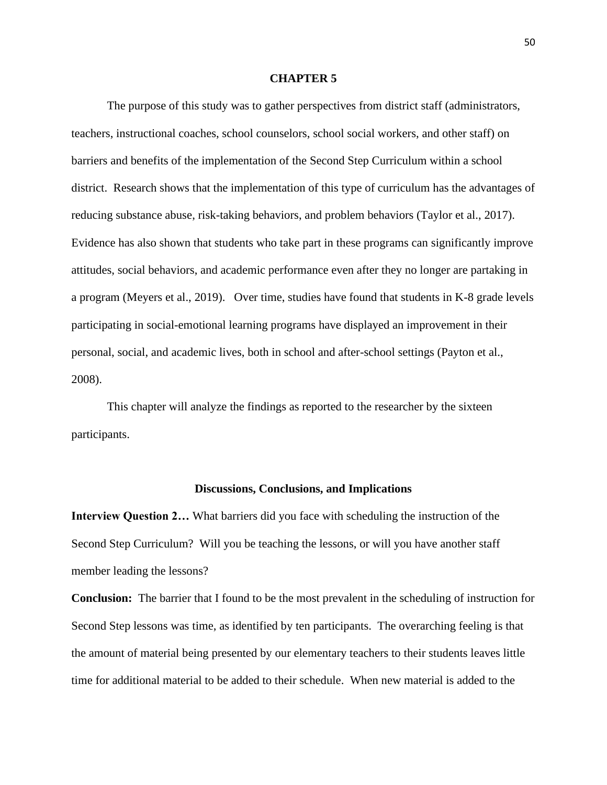#### **CHAPTER 5**

<span id="page-55-0"></span>The purpose of this study was to gather perspectives from district staff (administrators, teachers, instructional coaches, school counselors, school social workers, and other staff) on barriers and benefits of the implementation of the Second Step Curriculum within a school district. Research shows that the implementation of this type of curriculum has the advantages of reducing substance abuse, risk-taking behaviors, and problem behaviors (Taylor et al., 2017). Evidence has also shown that students who take part in these programs can significantly improve attitudes, social behaviors, and academic performance even after they no longer are partaking in a program (Meyers et al., 2019). Over time, studies have found that students in K-8 grade levels participating in social-emotional learning programs have displayed an improvement in their personal, social, and academic lives, both in school and after-school settings (Payton et al., 2008).

This chapter will analyze the findings as reported to the researcher by the sixteen participants.

#### **Discussions, Conclusions, and Implications**

<span id="page-55-1"></span>**Interview Question 2…** What barriers did you face with scheduling the instruction of the Second Step Curriculum? Will you be teaching the lessons, or will you have another staff member leading the lessons?

**Conclusion:** The barrier that I found to be the most prevalent in the scheduling of instruction for Second Step lessons was time, as identified by ten participants. The overarching feeling is that the amount of material being presented by our elementary teachers to their students leaves little time for additional material to be added to their schedule. When new material is added to the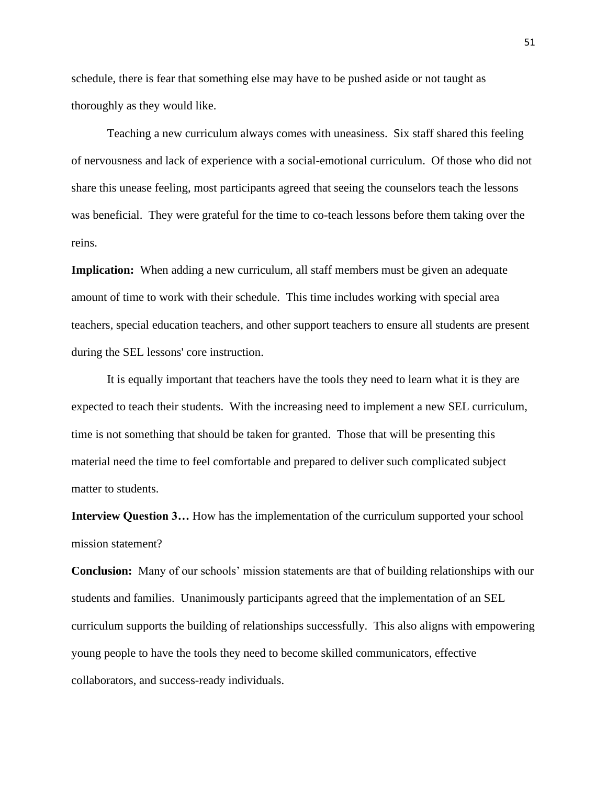schedule, there is fear that something else may have to be pushed aside or not taught as thoroughly as they would like.

Teaching a new curriculum always comes with uneasiness. Six staff shared this feeling of nervousness and lack of experience with a social-emotional curriculum. Of those who did not share this unease feeling, most participants agreed that seeing the counselors teach the lessons was beneficial. They were grateful for the time to co-teach lessons before them taking over the reins.

**Implication:** When adding a new curriculum, all staff members must be given an adequate amount of time to work with their schedule. This time includes working with special area teachers, special education teachers, and other support teachers to ensure all students are present during the SEL lessons' core instruction.

It is equally important that teachers have the tools they need to learn what it is they are expected to teach their students. With the increasing need to implement a new SEL curriculum, time is not something that should be taken for granted. Those that will be presenting this material need the time to feel comfortable and prepared to deliver such complicated subject matter to students.

**Interview Question 3…** How has the implementation of the curriculum supported your school mission statement?

**Conclusion:** Many of our schools' mission statements are that of building relationships with our students and families. Unanimously participants agreed that the implementation of an SEL curriculum supports the building of relationships successfully. This also aligns with empowering young people to have the tools they need to become skilled communicators, effective collaborators, and success-ready individuals.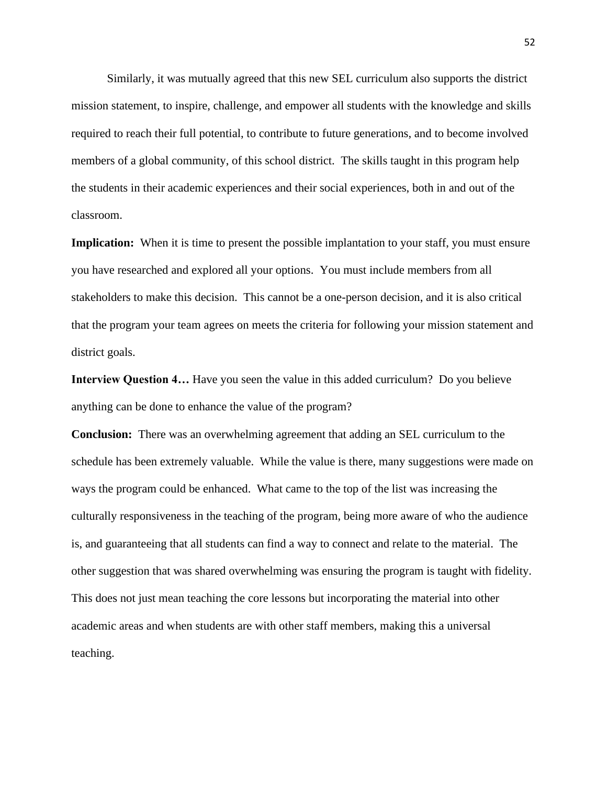Similarly, it was mutually agreed that this new SEL curriculum also supports the district mission statement, to inspire, challenge, and empower all students with the knowledge and skills required to reach their full potential, to contribute to future generations, and to become involved members of a global community, of this school district. The skills taught in this program help the students in their academic experiences and their social experiences, both in and out of the classroom.

**Implication:** When it is time to present the possible implantation to your staff, you must ensure you have researched and explored all your options. You must include members from all stakeholders to make this decision. This cannot be a one-person decision, and it is also critical that the program your team agrees on meets the criteria for following your mission statement and district goals.

**Interview Question 4…** Have you seen the value in this added curriculum? Do you believe anything can be done to enhance the value of the program?

**Conclusion:** There was an overwhelming agreement that adding an SEL curriculum to the schedule has been extremely valuable. While the value is there, many suggestions were made on ways the program could be enhanced. What came to the top of the list was increasing the culturally responsiveness in the teaching of the program, being more aware of who the audience is, and guaranteeing that all students can find a way to connect and relate to the material. The other suggestion that was shared overwhelming was ensuring the program is taught with fidelity. This does not just mean teaching the core lessons but incorporating the material into other academic areas and when students are with other staff members, making this a universal teaching.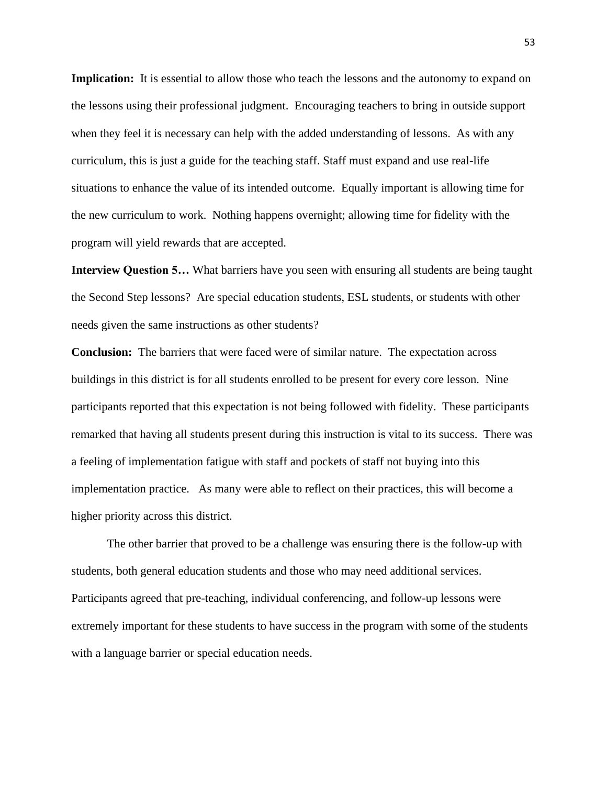**Implication:** It is essential to allow those who teach the lessons and the autonomy to expand on the lessons using their professional judgment. Encouraging teachers to bring in outside support when they feel it is necessary can help with the added understanding of lessons. As with any curriculum, this is just a guide for the teaching staff. Staff must expand and use real-life situations to enhance the value of its intended outcome. Equally important is allowing time for the new curriculum to work. Nothing happens overnight; allowing time for fidelity with the program will yield rewards that are accepted.

**Interview Question 5…** What barriers have you seen with ensuring all students are being taught the Second Step lessons? Are special education students, ESL students, or students with other needs given the same instructions as other students?

**Conclusion:** The barriers that were faced were of similar nature. The expectation across buildings in this district is for all students enrolled to be present for every core lesson. Nine participants reported that this expectation is not being followed with fidelity. These participants remarked that having all students present during this instruction is vital to its success. There was a feeling of implementation fatigue with staff and pockets of staff not buying into this implementation practice. As many were able to reflect on their practices, this will become a higher priority across this district.

The other barrier that proved to be a challenge was ensuring there is the follow-up with students, both general education students and those who may need additional services. Participants agreed that pre-teaching, individual conferencing, and follow-up lessons were extremely important for these students to have success in the program with some of the students with a language barrier or special education needs.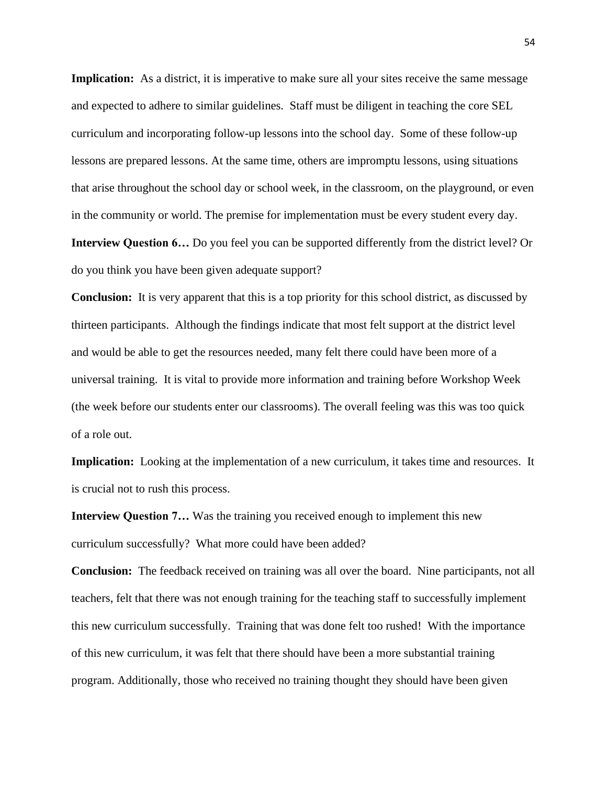**Implication:** As a district, it is imperative to make sure all your sites receive the same message and expected to adhere to similar guidelines. Staff must be diligent in teaching the core SEL curriculum and incorporating follow-up lessons into the school day. Some of these follow-up lessons are prepared lessons. At the same time, others are impromptu lessons, using situations that arise throughout the school day or school week, in the classroom, on the playground, or even in the community or world. The premise for implementation must be every student every day. **Interview Question 6…** Do you feel you can be supported differently from the district level? Or do you think you have been given adequate support?

**Conclusion:** It is very apparent that this is a top priority for this school district, as discussed by thirteen participants. Although the findings indicate that most felt support at the district level and would be able to get the resources needed, many felt there could have been more of a universal training. It is vital to provide more information and training before Workshop Week (the week before our students enter our classrooms). The overall feeling was this was too quick of a role out.

**Implication:** Looking at the implementation of a new curriculum, it takes time and resources. It is crucial not to rush this process.

**Interview Question 7…** Was the training you received enough to implement this new curriculum successfully? What more could have been added?

**Conclusion:** The feedback received on training was all over the board. Nine participants, not all teachers, felt that there was not enough training for the teaching staff to successfully implement this new curriculum successfully. Training that was done felt too rushed! With the importance of this new curriculum, it was felt that there should have been a more substantial training program. Additionally, those who received no training thought they should have been given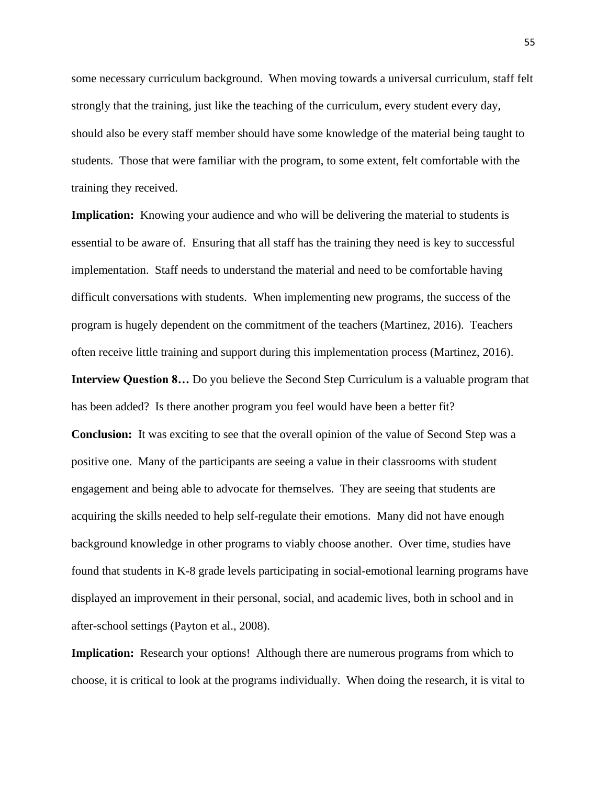some necessary curriculum background. When moving towards a universal curriculum, staff felt strongly that the training, just like the teaching of the curriculum, every student every day, should also be every staff member should have some knowledge of the material being taught to students. Those that were familiar with the program, to some extent, felt comfortable with the training they received.

**Implication:** Knowing your audience and who will be delivering the material to students is essential to be aware of. Ensuring that all staff has the training they need is key to successful implementation. Staff needs to understand the material and need to be comfortable having difficult conversations with students. When implementing new programs, the success of the program is hugely dependent on the commitment of the teachers (Martinez, 2016). Teachers often receive little training and support during this implementation process (Martinez, 2016).

**Interview Question 8…** Do you believe the Second Step Curriculum is a valuable program that has been added? Is there another program you feel would have been a better fit?

**Conclusion:** It was exciting to see that the overall opinion of the value of Second Step was a positive one. Many of the participants are seeing a value in their classrooms with student engagement and being able to advocate for themselves. They are seeing that students are acquiring the skills needed to help self-regulate their emotions. Many did not have enough background knowledge in other programs to viably choose another. Over time, studies have found that students in K-8 grade levels participating in social-emotional learning programs have displayed an improvement in their personal, social, and academic lives, both in school and in after-school settings (Payton et al., 2008).

**Implication:** Research your options! Although there are numerous programs from which to choose, it is critical to look at the programs individually. When doing the research, it is vital to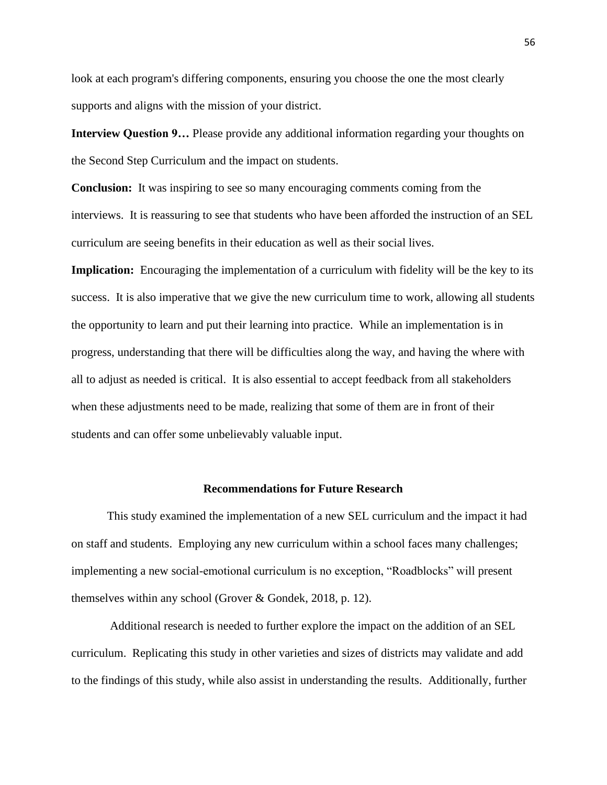look at each program's differing components, ensuring you choose the one the most clearly supports and aligns with the mission of your district.

**Interview Question 9…** Please provide any additional information regarding your thoughts on the Second Step Curriculum and the impact on students.

**Conclusion:** It was inspiring to see so many encouraging comments coming from the interviews. It is reassuring to see that students who have been afforded the instruction of an SEL curriculum are seeing benefits in their education as well as their social lives.

**Implication:** Encouraging the implementation of a curriculum with fidelity will be the key to its success. It is also imperative that we give the new curriculum time to work, allowing all students the opportunity to learn and put their learning into practice. While an implementation is in progress, understanding that there will be difficulties along the way, and having the where with all to adjust as needed is critical. It is also essential to accept feedback from all stakeholders when these adjustments need to be made, realizing that some of them are in front of their students and can offer some unbelievably valuable input.

#### **Recommendations for Future Research**

<span id="page-61-0"></span>This study examined the implementation of a new SEL curriculum and the impact it had on staff and students. Employing any new curriculum within a school faces many challenges; implementing a new social-emotional curriculum is no exception, "Roadblocks" will present themselves within any school (Grover & Gondek, 2018, p. 12).

Additional research is needed to further explore the impact on the addition of an SEL curriculum. Replicating this study in other varieties and sizes of districts may validate and add to the findings of this study, while also assist in understanding the results. Additionally, further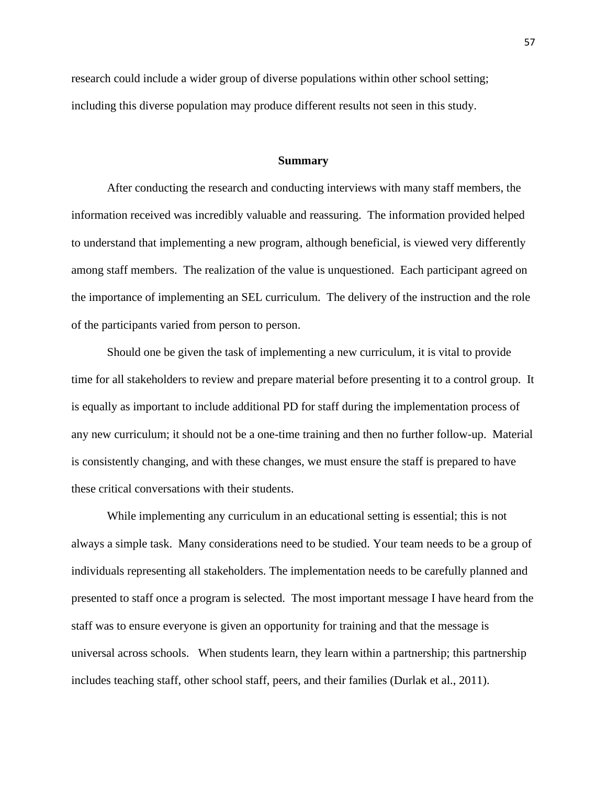research could include a wider group of diverse populations within other school setting; including this diverse population may produce different results not seen in this study.

#### **Summary**

<span id="page-62-0"></span>After conducting the research and conducting interviews with many staff members, the information received was incredibly valuable and reassuring. The information provided helped to understand that implementing a new program, although beneficial, is viewed very differently among staff members. The realization of the value is unquestioned. Each participant agreed on the importance of implementing an SEL curriculum. The delivery of the instruction and the role of the participants varied from person to person.

Should one be given the task of implementing a new curriculum, it is vital to provide time for all stakeholders to review and prepare material before presenting it to a control group. It is equally as important to include additional PD for staff during the implementation process of any new curriculum; it should not be a one-time training and then no further follow-up. Material is consistently changing, and with these changes, we must ensure the staff is prepared to have these critical conversations with their students.

While implementing any curriculum in an educational setting is essential; this is not always a simple task. Many considerations need to be studied. Your team needs to be a group of individuals representing all stakeholders. The implementation needs to be carefully planned and presented to staff once a program is selected. The most important message I have heard from the staff was to ensure everyone is given an opportunity for training and that the message is universal across schools. When students learn, they learn within a partnership; this partnership includes teaching staff, other school staff, peers, and their families (Durlak et al., 2011).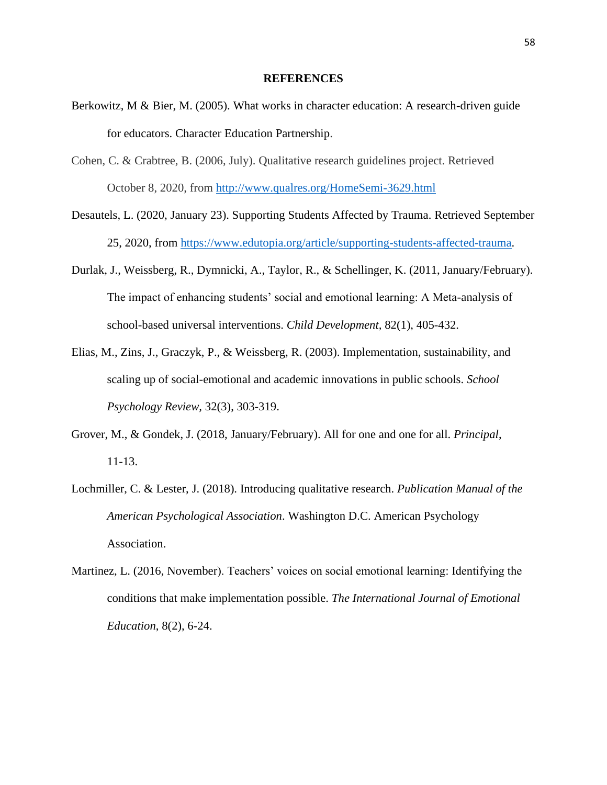#### **REFERENCES**

- <span id="page-63-0"></span>Berkowitz, M & Bier, M. (2005). What works in character education: A research-driven guide for educators. Character Education Partnership.
- Cohen, C. & Crabtree, B. (2006, July). Qualitative research guidelines project. Retrieved October 8, 2020, from<http://www.qualres.org/HomeSemi-3629.html>
- Desautels, L. (2020, January 23). Supporting Students Affected by Trauma. Retrieved September 25, 2020, from [https://www.edutopia.org/article/supporting-students-affected-trauma.](https://www.edutopia.org/article/supporting-students-affected-trauma)
- Durlak, J., Weissberg, R., Dymnicki, A., Taylor, R., & Schellinger, K. (2011, January/February). The impact of enhancing students' social and emotional learning: A Meta-analysis of school-based universal interventions. *Child Development,* 82(1), 405-432.
- Elias, M., Zins, J., Graczyk, P., & Weissberg, R. (2003). Implementation, sustainability, and scaling up of social-emotional and academic innovations in public schools. *School Psychology Review,* 32(3), 303-319.
- Grover, M., & Gondek, J. (2018, January/February). All for one and one for all. *Principal*, 11-13.
- Lochmiller, C. & Lester, J. (2018). Introducing qualitative research. *Publication Manual of the American Psychological Association*. Washington D.C. American Psychology Association.
- Martinez, L. (2016, November). Teachers' voices on social emotional learning: Identifying the conditions that make implementation possible. *The International Journal of Emotional Education*, 8(2), 6-24.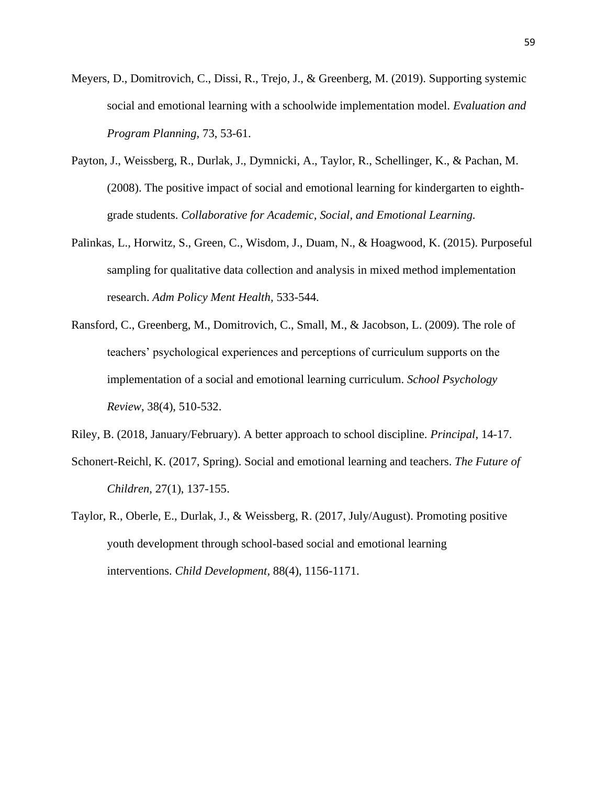- Meyers, D., Domitrovich, C., Dissi, R., Trejo, J., & Greenberg, M. (2019). Supporting systemic social and emotional learning with a schoolwide implementation model. *Evaluation and Program Planning,* 73, 53-61.
- Payton, J., Weissberg, R., Durlak, J., Dymnicki, A., Taylor, R., Schellinger, K., & Pachan, M. (2008). The positive impact of social and emotional learning for kindergarten to eighthgrade students. *Collaborative for Academic, Social, and Emotional Learning.*
- Palinkas, L., Horwitz, S., Green, C., Wisdom, J., Duam, N., & Hoagwood, K. (2015). Purposeful sampling for qualitative data collection and analysis in mixed method implementation research. *Adm Policy Ment Health,* 533-544.
- Ransford, C., Greenberg, M., Domitrovich, C., Small, M., & Jacobson, L. (2009). The role of teachers' psychological experiences and perceptions of curriculum supports on the implementation of a social and emotional learning curriculum. *School Psychology Review*, 38(4), 510-532.

Riley, B. (2018, January/February). A better approach to school discipline. *Principal*, 14-17.

- Schonert-Reichl, K. (2017, Spring). Social and emotional learning and teachers. *The Future of Children*, 27(1), 137-155.
- Taylor, R., Oberle, E., Durlak, J., & Weissberg, R. (2017, July/August). Promoting positive youth development through school-based social and emotional learning interventions. *Child Development,* 88(4), 1156-1171.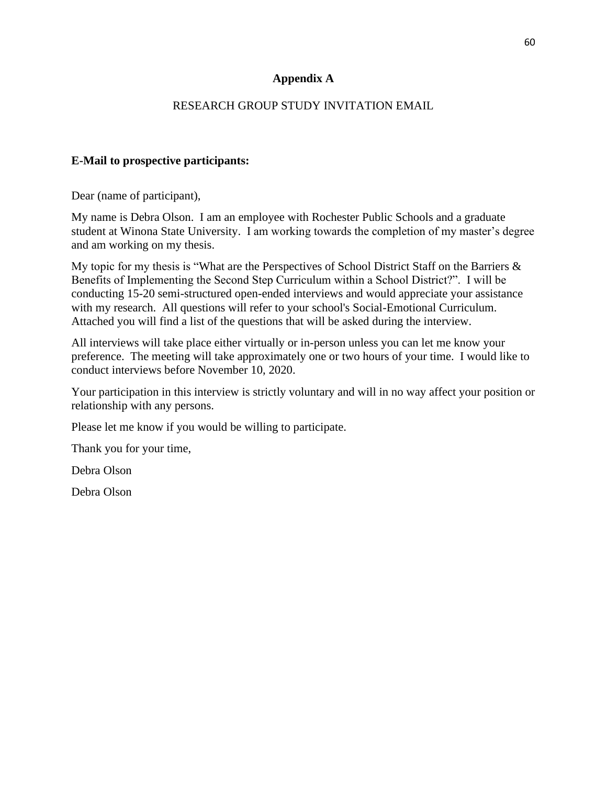## **Appendix A**

## RESEARCH GROUP STUDY INVITATION EMAIL

## <span id="page-65-0"></span>**E-Mail to prospective participants:**

Dear (name of participant),

My name is Debra Olson. I am an employee with Rochester Public Schools and a graduate student at Winona State University. I am working towards the completion of my master's degree and am working on my thesis.

My topic for my thesis is "What are the Perspectives of School District Staff on the Barriers & Benefits of Implementing the Second Step Curriculum within a School District?". I will be conducting 15-20 semi-structured open-ended interviews and would appreciate your assistance with my research. All questions will refer to your school's Social-Emotional Curriculum. Attached you will find a list of the questions that will be asked during the interview.

All interviews will take place either virtually or in-person unless you can let me know your preference. The meeting will take approximately one or two hours of your time. I would like to conduct interviews before November 10, 2020.

Your participation in this interview is strictly voluntary and will in no way affect your position or relationship with any persons.

Please let me know if you would be willing to participate.

Thank you for your time,

Debra Olson

Debra Olson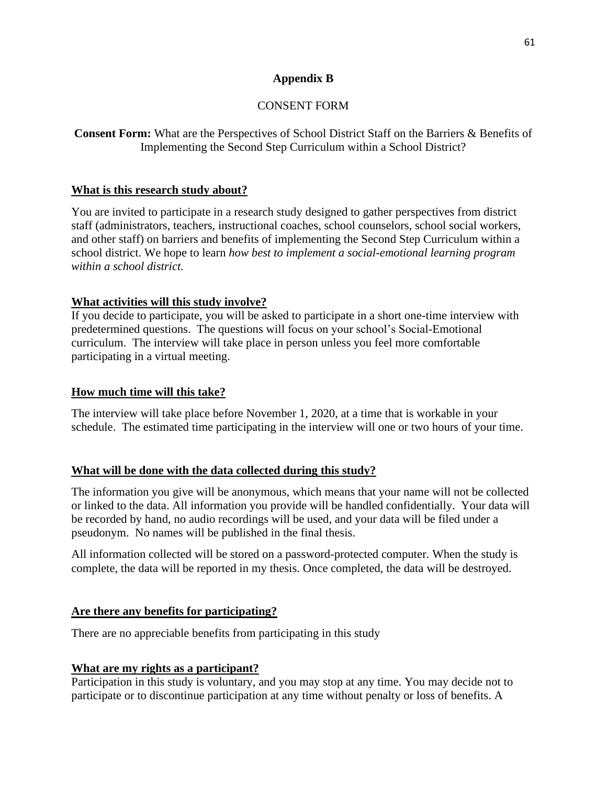## **Appendix B**

# CONSENT FORM

<span id="page-66-0"></span>**Consent Form:** What are the Perspectives of School District Staff on the Barriers & Benefits of Implementing the Second Step Curriculum within a School District?

## **What is this research study about?**

You are invited to participate in a research study designed to gather perspectives from district staff (administrators, teachers, instructional coaches, school counselors, school social workers, and other staff) on barriers and benefits of implementing the Second Step Curriculum within a school district. We hope to learn *how best to implement a social-emotional learning program within a school district.*

## **What activities will this study involve?**

If you decide to participate, you will be asked to participate in a short one-time interview with predetermined questions. The questions will focus on your school's Social-Emotional curriculum. The interview will take place in person unless you feel more comfortable participating in a virtual meeting.

## **How much time will this take?**

The interview will take place before November 1, 2020, at a time that is workable in your schedule. The estimated time participating in the interview will one or two hours of your time.

# **What will be done with the data collected during this study?**

The information you give will be anonymous, which means that your name will not be collected or linked to the data. All information you provide will be handled confidentially. Your data will be recorded by hand, no audio recordings will be used, and your data will be filed under a pseudonym. No names will be published in the final thesis.

All information collected will be stored on a password-protected computer*.* When the study is complete, the data will be reported in my thesis. Once completed, the data will be destroyed.

# **Are there any benefits for participating?**

There are no appreciable benefits from participating in this study

# **What are my rights as a participant?**

Participation in this study is voluntary, and you may stop at any time. You may decide not to participate or to discontinue participation at any time without penalty or loss of benefits. A